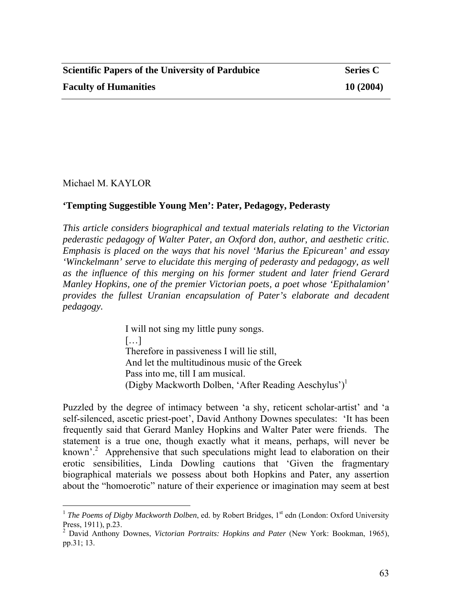Michael M. KAYLOR

 $\overline{a}$ 

## **'Tempting Suggestible Young Men': Pater, Pedagogy, Pederasty**

*This article considers biographical and textual materials relating to the Victorian pederastic pedagogy of Walter Pater, an Oxford don, author, and aesthetic critic. Emphasis is placed on the ways that his novel 'Marius the Epicurean' and essay 'Winckelmann' serve to elucidate this merging of pederasty and pedagogy, as well as the influence of this merging on his former student and later friend Gerard Manley Hopkins, one of the premier Victorian poets, a poet whose 'Epithalamion' provides the fullest Uranian encapsulation of Pater's elaborate and decadent pedagogy.* 

> I will not sing my little puny songs.  $\left[\ldots\right]$ Therefore in passiveness I will lie still, An[d l](#page-0-1)et the multitudinous music of the Greek Pass into me, till I am musical. (Digby Mackworth Dolben, 'After Reading Aeschylus') 1

Puzzled by the degree of intimacy between 'a shy, reticent scholar-artist' and 'a self-silenced, ascetic priest-poet', David Anthony Downes speculates: 'It has been frequently said that Gerard Manley Hopkins and Walter Pater were friends. The statement is a true one, though exactly what it means, perhaps, will never be known'.<sup>2</sup> Apprehensive that such speculations might lead to elaboration on their erotic sensibilities, Linda Dowling cautions that 'Given the fragmentary biographical materials we possess about both Hopkins and Pater, any assertion about the "homoerotic" nature of their experience or imagination may seem at best

<span id="page-0-0"></span><sup>&</sup>lt;sup>1</sup> *The Poems of Digby Mackworth Dolben*, ed. by Robert Bridges, 1<sup>st</sup> edn (London: Oxford University Press, 1911), p.23.

<span id="page-0-1"></span>David Anthony Downes, *Victorian Portraits: Hopkins and Pater* (New York: Bookman, 1965), pp.31; 13.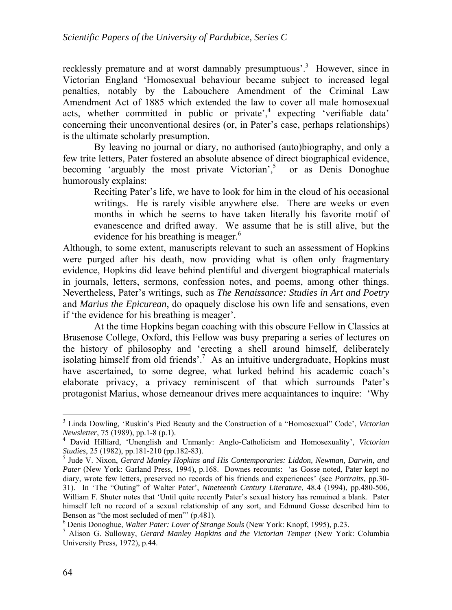recklessly premature and at worst damnably presumptuous'.<sup>3</sup> However, since in Victorian England 'Homosexual behaviour became subject t[o](#page-1-0) increased legal penalties, notably by the Labouchere Amendment of the Criminal Law Amendment Act of 1885 which extended the law to cover all male homosexual acts, whether committed in public or private<sup>2</sup>,<sup>4</sup> expecting 'verifiable data' concerning their unconventional desires (or, in Pater's case, perhaps relationships) is the ultimate scholarly presumption.

By leaving no journal or diary, no authorised ([au](#page-1-1)to)biography, and only a few trite letters, Pater fostered an absolute absence of direct biographical evidence, becoming 'arguably the most private Victorian',<sup>5</sup> or as Denis Donoghue humorously explains:

Reciting Pater's life, we have to look for him in the cloud of his occasional writings. He is rarely visible anywhere else. There are weeks or even months in which he seems to have taken literally his favorite motif of evanescence and drifted away. We assume that he is still alive, but the evidence for his breathing is meager. 6

Although, to some extent, manuscripts relevant to such an assessment of Hopkins were purged after his death, now providing what is often only fragmentary evidence, Hopkins did leave behind plentiful [an](#page-1-2)d divergent biographical materials in journals, letters, sermons, confession notes, and poems, among other things. Nevertheless, Pater's writings, such as *The Renaissance: Studies in Art and Poetry* and *Marius the Epicurean*, do opaquely disclose his own life and sensations, even if 'the evidence for his breathing is meager'.

At the time Hopkins began coaching with this obscure Fellow in Classics at Brasenose College, Oxford, this Fellow was busy preparing a series of lectures on the history of philosophy and 'erecting a shell around himself, deliberately isolating himself from old friends'.<sup>7</sup> As an intuitive undergraduate, Hopkins must have ascertained, to some degree, what lurked behind his academic coach's elaborate privacy, a privacy reminiscent of that which surrounds Pater's protagonist Marius, whose demeanour drives mere acquaintances to inquire: 'Why

<sup>3</sup> Linda Dowling, 'Ruskin's Pied Beauty and the Construction of a "Homosexual" Code', *Victorian Newsletter*, 75 (1989), pp.1-8 (p.1). 4

David Hilliard, 'Unenglish and Unmanly: Anglo-Catholicism and Homosexuality', *Victorian Studies*, 25 (1982), pp.181-210 (pp.182-83).<br><sup>5</sup> Jude V. Nixon, *Gerard Manley Hopkins and His Contemporaries: Liddon, Newman, Darwin, and* 

<span id="page-1-0"></span>Pater (New York: Garland Press, 1994), p.168. Downes recounts: 'as Gosse noted, Pater kept no diary, wrote few letters, preserved no records of his friends and experiences' (see *Portraits*, pp.30- 31). In 'The "Outing" of Walter Pater', *Nineteenth Century Literature*, 48.4 (1994), pp.480-506, William F. Shuter notes that 'Until quite recently Pater's sexual history has remained a blank. Pater himself left no record of a sexual relationship of any sort, and Edmund Gosse described him to Benson as "the most secluded of men"' (p.481).

<span id="page-1-1"></span>Denis Donoghue, *Walter Pater: Lover of Strange Souls* (New York: Knopf, 1995), p.23. 7

<span id="page-1-2"></span>Alison G. Sulloway, *Gerard Manley Hopkins and the Victorian Temper* (New York: Columbia University Press, 1972), p.44.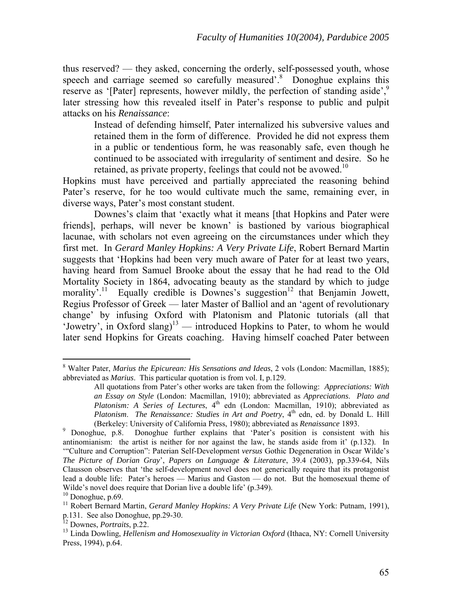thus reserved? — they asked, concerning the orderly, self-possessed youth, whose speech and carriage seemed so carefully measured'.<sup>8</sup> Donoghue explain[s](#page-2-0) this reserve as '[Pater] represents, however mildly, the perfection of standing aside',<sup>9</sup> later stressing how this revealed itself in Pater's response to public and pulpit attacks on his *Renaissance*:

Instead of defending himself, Pater internalized his subversive values and retained them in the form of difference. Provided he did not express them in a public or tendentious form, he was reasonably safe, even though he continued to be associated with irregularity of sentiment and desire. So he retained, as private property, feelings that could not be avowed.<sup>10</sup>

Hopkins must have perceived and partially appreciated the reasoning behind Pater's reserve, for he too would cultivate much the same, rema[ini](#page-2-2)ng ever, in diverse ways, Pater's [m](#page-2-1)ost constant student.

Downes's claim that 'exactly what it means [that Hopkins and Pater were friends], perhaps, will never be known' is bastioned by various biographical lacunae, with scholars not even agreei[ng](#page-2-3) on the circumstances under which they first met. In *Gerard Manley Hopkins: A Very Private Life*, Robert Bernard Martin suggests that 'Hopkins had been very much aware of Pater for at least two years, having heard from Samuel Brooke about the essay that he had read to the Old Mortality Society in 1864, advocating beauty as the standard by which to judge morality'.<sup>11</sup> Equally credible is Downes's suggestion<sup>12</sup> that Benjamin Jowett, Regius Professor of Greek — later Master of Balliol and an 'agent of revolutionary change' by infusing Oxford with Platonism and Platonic tutorials (all that 'Jowetry', in Oxford slang)<sup>13</sup> — introduced Hopkins to Pater, to whom he would later send Hopkins for Greats coaching. Having himself coached Pater between

<sup>8</sup> Walter Pater, *Marius the Epicurean: His Sensations and Ideas*, 2 vols (London: Macmillan, 1885); abbreviated as *Marius*. This particular quotation is from vol. I, p.129.

All quotations from Pater's other works are taken from the following: *Appreciations: With an Essay on Style* (London: Macmillan, 1910); abbreviated as *Appreciations*. *Plato and*  Platonism: A Series of Lectures, 4<sup>th</sup> edn (London: Macmillan, 1910); abbreviated as *Platonism. The Renaissance: Studies in Art and Poetry*, 4<sup>th</sup> edn, ed. by Donald L. Hill

<sup>(</sup>Berkeley: University of California Press, 1980); abbreviated as *Renaissance* 1893.<br><sup>9</sup> Donoghue, p.8. Donoghue further explains that 'Pater's position is consistent Donoghue further explains that 'Pater's position is consistent with his antinomianism: the artist is neither for nor against the law, he stands aside from it' (p.132). In '"Culture and Corruption": Paterian Self-Development *versus* Gothic Degeneration in Oscar Wilde's *The Picture of Dorian Gray*', *Papers on Language & Literature*, 39.4 (2003), pp.339-64, Nils Clausson observes that 'the self-development novel does not generically require that its protagonist lead a double life: Pater's heroes — Marius and Gaston — do not. But the homosexual theme of

<span id="page-2-1"></span><span id="page-2-0"></span>

Wilde's novel does require that Dorian live a double life' (p.349).<br><sup>10</sup> Donoghue, p.69.<br><sup>11</sup> Robert Bernard Martin, *Gerard Manley Hopkins: A Very Private Life* (New York: Putnam, 1991),<br>p.131. See also Donoghue, pp.29-30

<span id="page-2-3"></span><span id="page-2-2"></span>

<sup>&</sup>lt;sup>12</sup> Downes, *Portraits*, p.22. <sup>22</sup>. 13<br><sup>13</sup> Linda Dowling, *Hellenism and Homosexuality in Victorian Oxford* (Ithaca, NY: Cornell University Press, 1994), p.64.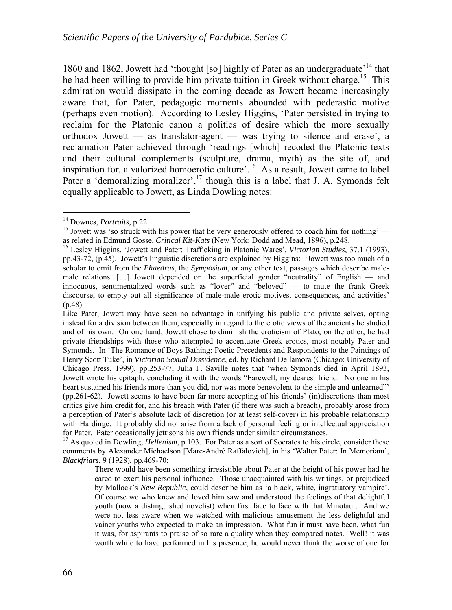1860 and 1862, Jowett had 'thought [so] highly of Pater as an undergraduate'14 that he had been willing to provide him private tuition in Gree[k w](#page-3-0)ithout charge.<sup>15</sup> This admiration would dissipate in the coming d[eca](#page-3-1)de as Jowett became increasingly aware that, for Pater, pedagogic moments abounded with pederastic motive (perhaps even motion). According to Lesley Higgins, 'Pater persisted in trying to reclaim for the Platonic canon a politics of desire which the more sexually orthodox Jowett — as translator-agent — was trying to silence and erase', a reclamation Pater achieved through 'readings [which] recoded the Platonic texts and their cultural complements (sculpture, drama, myth) as the site of, and inspiration for, a valorized homoerotic culture'.16 As a result, Jowett came to label Pater a 'demoralizing moralizer',<sup>17</sup> though this is a label that J. A. Symonds felt equally applicable to Jowett, as Linda Dowling notes:

<sup>&</sup>lt;sup>14</sup> Downes, *Portraits*, p.22.

<sup>&</sup>lt;sup>15</sup> Jowett was 'so struck with his power that he very generously offered to coach him for nothing' — as related in Edmund Gosse, *Critical Kit-Kats* (New York: Dodd and Mead, 1896), p.248.

<span id="page-3-0"></span><sup>&</sup>lt;sup>16</sup> Lesley Higgins, 'Jowett and Pater: Trafficking in Platonic Wares', *Victorian Studies*, 37.1 (1993), pp.43-72, (p.45). Jowett's linguistic discretions are explained by Higgins: 'Jowett was too much of a scholar to omit from the *Phaedrus*, the *Symposium*, or any other text, passages which describe malemale relations. […] Jowett depended on the superficial gender "neutrality" of English — and innocuous, sentimentalized words such as "lover" and "beloved" — to mute the frank Greek discourse, to empty out all significance of male-male erotic motives, consequences, and activities' (p.48).

Like Pater, Jowett may have seen no advantage in unifying his public and private selves, opting instead for a division between them, especially in regard to the erotic views of the ancients he studied and of his own. On one hand, Jowett chose to diminish the eroticism of Plato; on the other, he had private friendships with those who attempted to accentuate Greek erotics, most notably Pater and Symonds. In 'The Romance of Boys Bathing: Poetic Precedents and Respondents to the Paintings of Henry Scott Tuke', in *Victorian Sexual Dissidence*, ed. by Richard Dellamora (Chicago: University of Chicago Press, 1999), pp.253-77, Julia F. Saville notes that 'when Symonds died in April 1893, Jowett wrote his epitaph, concluding it with the words "Farewell, my dearest friend. No one in his heart sustained his friends more than you did, nor was more benevolent to the simple and unlearned"' (pp.261-62). Jowett seems to have been far more accepting of his friends' (in)discretions than most critics give him credit for, and his breach with Pater (if there was such a breach), probably arose from a perception of Pater's absolute lack of discretion (or at least self-cover) in his probable relationship with Hardinge. It probably did not arise from a lack of personal feeling or intellectual appreciation

<span id="page-3-1"></span>for Pater. Pater occasionally jettisons his own friends under similar circumstances. 17 As quoted in Dowling, *Hellenism*, p.103. For Pater as a sort of Socrates to his circle, consider these comments by Alexander Michaelson [Marc-André Raffalovich], in his 'Walter Pater: In Memoriam', *Blackfriars*, 9 (1928), pp.469-70:

There would have been something irresistible about Pater at the height of his power had he cared to exert his personal influence. Those unacquainted with his writings, or prejudiced by Mallock's *New Republic*, could describe him as 'a black, white, ingratiatory vampire'. Of course we who knew and loved him saw and understood the feelings of that delightful youth (now a distinguished novelist) when first face to face with that Minotaur. And we were not less aware when we watched with malicious amusement the less delightful and vainer youths who expected to make an impression. What fun it must have been, what fun it was, for aspirants to praise of so rare a quality when they compared notes. Well! it was worth while to have performed in his presence, he would never think the worse of one for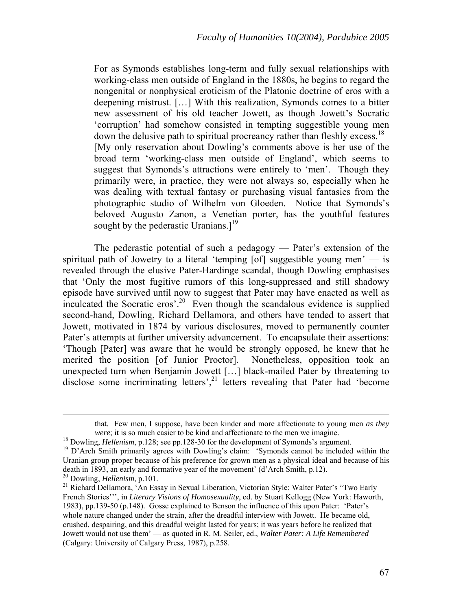For as Symonds establishes long-term and fully sexual relationships with working-class men outside of England in the 1880s, he begins to regard the nongenital or nonphysical eroticism of the Platonic doctrine of eros with a deepening mistrust. […] With this realization, Symonds comes to a bitter new assessment of his old teacher Jowett, as though Jowett's Socratic 'corruption' had somehow consisted in tempting suggestible young men down the delusive path to spiritual procreancy [rat](#page-4-0)her than fleshly excess.<sup>18</sup> [My only reservation about Dowling's comments above is her use of the broad term 'working-class men outside of England', which seems to suggest that Symonds's attractions were entirely to 'men'. Though they primarily were, in practice, they were not always so, especially when he was dealing with textual fantasy or purchasing visual fantasies from the photographic studio of Wilhelm von Gloeden. Notice that Symonds's beloved Augusto Zanon, a Ve[net](#page-4-1)ian porter, has the youthful features sought by the pederastic Uranians. $]^{19}$ 

The pederastic potential of such a pedagogy — Pater's extension of the spiritual path of Jowetry to a literal 'temping [of] suggestible young men'  $-$  is revealed through the elusive Pater-Hardinge scandal, though Dowling emphasises that 'Only the most fugitive rumors of this long-suppressed and still shadowy episode have survived until now to suggest that [Pat](#page-4-2)er may have enacted as well as inculcated the Socratic eros'. 20 Even though the scandalous evidence is supplied second-hand, Dowling, Richard Dellamora, and others have tended to assert that Jowett, motivated in 1874 by various disclosures, moved to permanently counter Pater's attempts at further university advancement. To encapsulate their assertions: 'Though [Pater] was aware that he would be strongly opposed, he knew that he merited the position [of Junior Proctor]. Nonetheless, opposition took an unexpected turn when Benjamin Jowett […] black-mailed Pater by threatening to disclose some incriminating letters', 21 letters revealing that Pater had 'become

that. Few men, I suppose, have been kinder and more affectionate to young men *as they*

<span id="page-4-0"></span>

*were*; it is so much easier to be kind and affectionate to the men we imagine.<br><sup>18</sup> Dowling, *Hellenism*, p.128; see pp.128-30 for the development of Symonds's argument.<br><sup>19</sup> D'Arch Smith primarily agrees with Dowling's c Uranian group proper because of his preference for grown men as a physical ideal and because of his death in 1893, an early and formative year of the movement' (d'Arch Smith, p.12).

<span id="page-4-2"></span><span id="page-4-1"></span>

<sup>&</sup>lt;sup>20</sup> Dowling, *Hellenism*, p.101.<br><sup>21</sup> Richard Dellamora, 'An Essay in Sexual Liberation, Victorian Style: Walter Pater's "Two Early French Stories''', in *Literary Visions of Homosexuality*, ed. by Stuart Kellogg (New York: Haworth, 1983), pp.139-50 (p.148). Gosse explained to Benson the influence of this upon Pater: 'Pater's whole nature changed under the strain, after the dreadful interview with Jowett. He became old, crushed, despairing, and this dreadful weight lasted for years; it was years before he realized that Jowett would not use them' — as quoted in R. M. Seiler, ed., *Walter Pater: A Life Remembered* (Calgary: University of Calgary Press, 1987), p.258.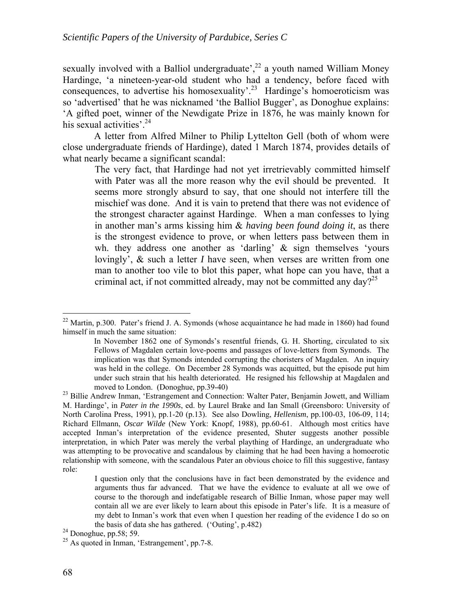sexually involved with a Balliol undergraduate', $^{22}$  a youth named William Money Hardinge, 'a nineteen-year-old student who had a tendency, before faced with consequences, to advertise his homosexuality'. 23 Hardinge's homoeroticism was so 'advertised' that he was nicknamed 'the Balliol Bugger', as Donoghue explains: 'A gifted poet, winner of the Newdigate Prize in 1876, he was mainly known for his sexual activities'.<sup>24</sup>

A letter from Alfred Milner to Philip Lyttelton Gell (both of whom were close undergraduate friends of Hardinge), dated 1 March 1874, provides details of what nearly became a significant scandal:

The very fact, that Hardinge had not yet irretrievably committed himself with Pater was all the more reason why the evil should be prevented. It seems more strongly absurd to say, that one should not interfere till the mischief was done. And it is vain to pretend that there was not evidence of the strongest character against Hardinge. When a man confesses to lying in another man's arms kissing him & *having been found doing it*, as there is the strongest evidence to prove, or when letters pass between them in wh. they address one another as 'darling' & sign themselves 'yours lovingly', & such a letter *I* have seen, when verses are written from one man to another too vile to blot this paper, what hope can you have, that a criminal act, if not committed already, may not be committed any day?<sup>25</sup>

 $22$  Martin, p.300. Pater's friend J. A. Symonds (whose acquaintance he had made in 1860) had found himself in much the same situation:

In November 1862 one of Symonds's resentful friends, G. H. Shorting, circulated to six Fellows of Magdalen certain love-poems and passages of love-letters from Symonds. The implication was that Symonds intended corrupting the choristers of Magdalen. An inquiry was held in the college. On December 28 Symonds was acquitted, but the episode put him under such strain that his health deteriorated. He resigned his fellowship at Magdalen and

moved to London. (Donoghue, pp.39-40)<br><sup>23</sup> Billie Andrew Inman, 'Estrangement and Connection: Walter Pater, Benjamin Jowett, and William M. Hardinge', in *Pater in the 1990s*, ed. by Laurel Brake and Ian Small (Greensboro: University of North Carolina Press, 1991), pp.1-20 (p.13). See also Dowling, *Hellenism*, pp.100-03, 106-09, 114; Richard Ellmann, *Oscar Wilde* (New York: Knopf, 1988), pp.60-61. Although most critics have accepted Inman's interpretation of the evidence presented, Shuter suggests another possible interpretation, in which Pater was merely the verbal plaything of Hardinge, an undergraduate who was attempting to be provocative and scandalous by claiming that he had been having a homoerotic relationship with someone, with the scandalous Pater an obvious choice to fill this suggestive, fantasy role:

I question only that the conclusions have in fact been demonstrated by the evidence and arguments thus far advanced. That we have the evidence to evaluate at all we owe of course to the thorough and indefatigable research of Billie Inman, whose paper may well contain all we are ever likely to learn about this episode in Pater's life. It is a measure of my debt to Inman's work that even when I question her reading of the evidence I do so on the basis of data she has gathered. ('Outing', p.482)<sup>24</sup> Donoghue, pp.58; 59. <sup>25</sup> As quoted in Inman, 'Estrangement', pp.7-8.

<span id="page-5-0"></span>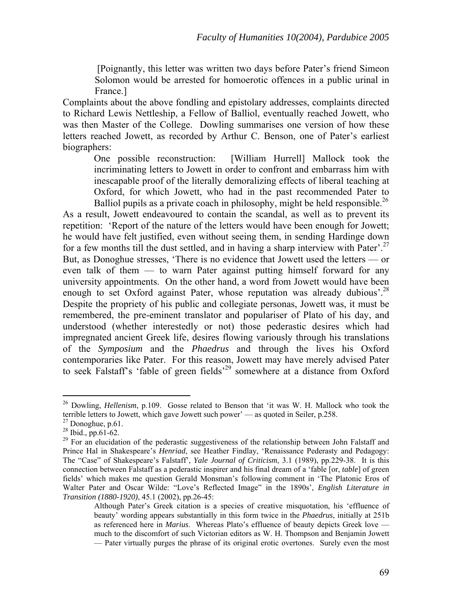[Poignantly, this letter was written two days before Pater's friend Simeon Solomon would be arrested for homoerotic offences in a public urinal in France.]

Complaints about the above fondling and epistolary addresses, complaints directed to Richard Lewis Nettleship, a Fellow of Balliol, eventually reached Jowett, who was then Master of the College. Dowling summarises one version of how these letters reached Jowett, as recorded by Arthur C. Benson, one of Pater's earliest biographers:

One possible reconstruction: [William Hurrell] Mallock took the incriminating letters to Jowett in order to confront and embarrass him with inescapable proof of the literally demoralizing effects of liberal teaching at Oxford, for which Jowett, who had in the past recommended Pater to Balliol pupils as a private coach in philosophy, might be held responsible.<sup>26</sup>

As a result, Jowett endeavoured to contain the scandal, as well as to prevent its repetition: 'Report of the nature of the letters would have been enough for Jowett; he would have felt justified, even without seeing them, in sending Hardinge down for a few months till the dust settled, and in having a sharp interview with Pater<sup> $27$ </sup> But, as Donoghue stresses, 'There is no evidence that Jowett used the letters — or even talk of them — to warn Pater against putting himself forward for any university appointments. On the other hand, a word [fro](#page-6-0)m Jowett would have been enough to set Oxford against Pater, whose reputation was already dubious'.<sup>28</sup> Despite the propriety of his public and collegiate personas, Jowett was, it must be remembered, the pre-eminent translator and populariser of Plato of his day, and understood (whether interestedly or not) those pederastic desires which had impregnated ancient Greek life, desires flowing variously through his translations of the *Symposium* and the *Phaedrus* and through the lives his Oxford contemporaries like Pater. For this reason, Jowett may have merely advised Pater to seek Falstaff's 'fable of green fields'<sup>29'</sup> somewhere at a distance from Oxford

<sup>&</sup>lt;sup>26</sup> Dowling, *Hellenism*, p.109. Gosse related to Benson that 'it was W. H. Mallock who took the terrible letters to Jowett, which gave Jowett such power' — as quoted in Seiler, p.258.<br><sup>27</sup> Donoghue, p.61.<br><sup>28</sup> Ibid., pp.61-62.<br><sup>29</sup> For an elucidation of the pederastic suggestiveness of the relationship between John

<span id="page-6-0"></span>Prince Hal in Shakespeare's *Henriad*, see Heather Findlay, 'Renaissance Pederasty and Pedagogy: The "Case" of Shakespeare's Falstaff', *Yale Journal of Criticism*, 3.1 (1989), pp.229-38. It is this connection between Falstaff as a pederastic inspirer and his final dream of a 'fable [or, *table*] of green fields' which makes me question Gerald Monsman's following comment in 'The Platonic Eros of Walter Pater and Oscar Wilde: "Love's Reflected Image" in the 1890s', *English Literature in Transition (1880-1920)*, 45.1 (2002), pp.26-45:

Although Pater's Greek citation is a species of creative misquotation, his 'effluence of beauty' wording appears substantially in this form twice in the *Phaedrus*, initially at 251b as referenced here in *Marius*. Whereas Plato's effluence of beauty depicts Greek love much to the discomfort of such Victorian editors as W. H. Thompson and Benjamin Jowett — Pater virtually purges the phrase of its original erotic overtones. Surely even the most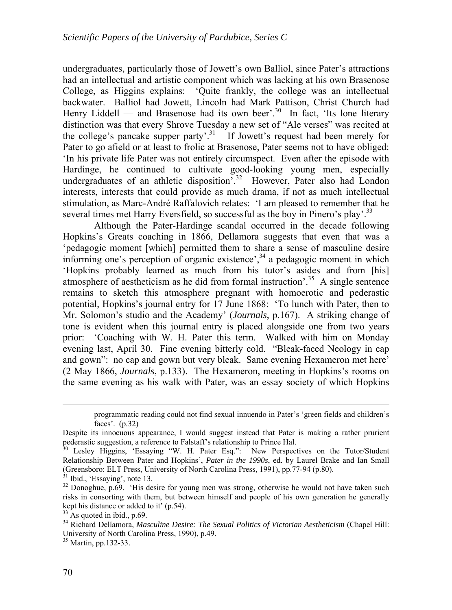undergraduates, particularly those of Jowett's own Balliol, since Pater's attractions had an intellectual and artistic component which was lacking at his own Brasenose College, as Higgins explains: 'Quite frankly, the [coll](#page-7-1)ege was an intellectual backwater. Balliol had Jowett, Lincoln had Mark Pattison, Christ Church had Henry Liddell — and Brasenose had its own beer'.<sup>30</sup> In fact, 'Its lone literary distinction was that every Shrove Tuesday a new set of "Ale verses" was recited at the college's pancake supper party'.<sup>31</sup> If Jowett's request had been merely for Pater to go afield or at least to frolic at Brasenose, Pater seems not to have obliged: 'In his private life Pater was not entirely circumspect. Even after the episode with Hardinge, he continued to cultivate good-looking yo[ung](#page-7-2) men, especially undergraduates of an athletic disposition<sup>7</sup>.<sup>32</sup> However, Pater also had London interests, interests that could provide as much drama, if not as much i[ntel](#page-7-3)lectual stimulation, as Marc-André Raffalovich relates: 'I am pleased to remember that he several times met Harry Eversfield, so successful as the boy in Pinero's play'.<sup>33</sup>

Although the Pater-Hardinge scandal occurred in the decade following Hopkins's Greats coaching in 1866, Dellamora suggests that even that was a 'pedagogic moment [which] permitted them to share a sense of masculine desire informing one's perception of organic existence',  $34$  a pedagogic moment in which 'Hopkins probably learned as much from his tutor's asides and from [his] atmosphere of aestheticism as he did from formal instruction'. 35 A single sentence remains to sketch this atmosphere pregnant with homoerotic and pederastic potential, Hopkins's journal entry for 17 June 1868: 'To lunch with Pater, then to Mr. Solomon's studio and the Academy' (*Journals*, p.167). A striking change of tone is evident when this journal entry is placed alongside one from two years prior: 'Coaching with W. H. Pater this term. Walked with him on Monday evening last, April 30. Fine evening bitterly cold. "Bleak-faced Neology in cap and gown": no cap and gown but very bleak. Same evening Hexameron met here' (2 May 1866, *Journals*, p.133). The Hexameron, meeting in Hopkins's rooms on the same evening as his walk with Pater, was an essay society of which Hopkins

programmatic reading could not find sexual innuendo in Pater's 'green fields and children's faces'. (p.32)

Despite its innocuous appearance, I would suggest instead that Pater is making a rather prurient

pederastic suggestion, a reference to Falstaff's relationship to Prince Hal.<br><sup>30</sup> Lesley Higgins, 'Essaying "W. H. Pater Esq.": New Perspectives on the Tutor/Student Relationship Between Pater and Hopkins', *Pater in the 1990s*, ed. by Laurel Brake and Ian Small (Greensboro: ELT Press, University of North Carolina Press, 1991), pp.77-94 (p.80).

<span id="page-7-1"></span><span id="page-7-0"></span>

 $G_3$ <sup>31</sup> Ibid., 'Essaying', note 13. 32 Donoghue, p.69. 'His desire for young men was strong, otherwise he would not have taken such risks in consorting with them, but between himself and people of his own generation he generally kept his distance or added to it' (p.54).<br><sup>33</sup> As quoted in ibid., p.69.<br><sup>34</sup> Richard Dellamora, *Masculine Desire: The Sexual Politics of Victorian Aestheticism* (Chapel Hill:

<span id="page-7-2"></span>University of North Carolina Press, 1990), p.49. 35 Martin, pp.132-33.

<span id="page-7-3"></span>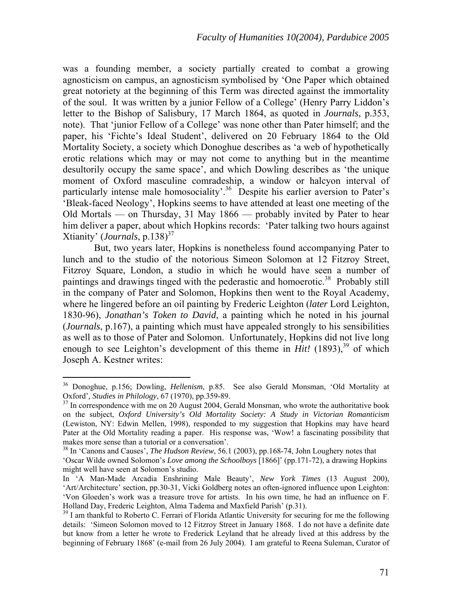was a founding member, a society partially created to combat a growing agnosticism on campus, an agnosticism symbolised by 'One Paper which obtained great notoriety at the beginning of this Term was directed against the immortality of the soul. It was written by a junior Fellow of a C[oll](#page-8-0)ege' (Henry Parry Liddon's letter to the Bishop of Salisbury, 17 March 1864, as quoted in *Journals*, p.353, note). That 'junior Fellow of a College' was none other than Pater himself; and the paper, his 'Fichte's Ideal Student', delivered on 20 February 1864 to the Old Mortality Society, a society which Do[no](#page-8-1)ghue describes as 'a web of hypothetically erotic relations which may or may not come to anything but in the meantime desultorily occupy the same space', and which Dowling describes as 'the unique moment of Oxford masculine comradeship, a window or halcyon interval of particularly intense male homosociality'.<sup>36</sup> Despite his earlier aversion to P[ater](#page-8-2)'s 'Bleak-faced Neology', Hopkins seems to have attended at least one meeting of the Old Mortals — on Thursday, 31 May 1866 — probably invited by Pater to hear him deliver a paper, about which Hopkins records: 'Pater talking two hours against Xtianity' (*Journals*, p.138) 37

But, two years later, Hopkins is nonetheless found accompanying Pater to lunch and to the studio of the notorious Simeon Solomon at 12 Fitzroy Street[,](#page-8-3)  Fitzroy Square, London, a studio in which he would have seen a number of paintings and drawings tinged with the pederastic and homoerotic.<sup>38</sup> Probably still in the company of Pater and Solomon, Hopkins then went to the Royal Academy, where he lingered before an oil painting by Frederic Leighton (*later* Lord Leighton, 1830-96), *Jonathan's Token to David*, a painting which he noted in his journal (*Journals*, p.167), a painting which must have appealed strongly to his sensibilities as well as to those of Pater and Solomon. Unfortunately, Hopkins did not live long enough to see Leighton's development of this theme in  $Hit!$  (1893),<sup>39</sup> of which Joseph A. Kestner writes:

<span id="page-8-0"></span><sup>&</sup>lt;sup>36</sup> Donoghue, p.156; Dowling, *Hellenism*, p.85. See also Gerald Monsman, 'Old Mortality at Oxford'. *Studies in Philology*, 67 (1970), pp.359-89.

<span id="page-8-1"></span>In correspondence with me on 20 August 2004, Gerald Monsman, who wrote the authoritative book on the subject, *Oxford University's Old Mortality Society: A Study in Victorian Romanticism* (Lewiston, NY: Edwin Mellen, 1998), responded to my suggestion that Hopkins may have heard Pater at the Old Mortality reading a paper. His response was, 'Wow! a fascinating possibility that makes more sense than a tutorial or a conversation'. 38 In 'Canons and Causes', *The Hudson Review*, 56.1 (2003), pp.168-74, John Loughery notes that

<span id="page-8-2"></span><sup>&#</sup>x27;Oscar Wilde owned Solomon's *Love among the Schoolboys* [1866]' (pp.171-72), a drawing Hopkins might well have seen at Solomon's studio.

In 'A Man-Made Arcadia Enshrining Male Beauty', *New York Times* (13 August 200), 'Art/Architecture' section, pp.30-31, Vicki Goldberg notes an often-ignored influence upon Leighton: 'Von Gloeden's work was a treasure trove for artists. In his own time, he had an influence on F. Holland Day, Frederic Leighton, Alma Tadema and Maxfield Parish' (p.31).<br><sup>39</sup> I am thankful to Roberto C. Ferrari of Florida Atlantic University for securing for me the following

<span id="page-8-3"></span>details: 'Simeon Solomon moved to 12 Fitzroy Street in January 1868. I do not have a definite date but know from a letter he wrote to Frederick Leyland that he already lived at this address by the beginning of February 1868' (e-mail from 26 July 2004). I am grateful to Reena Suleman, Curator of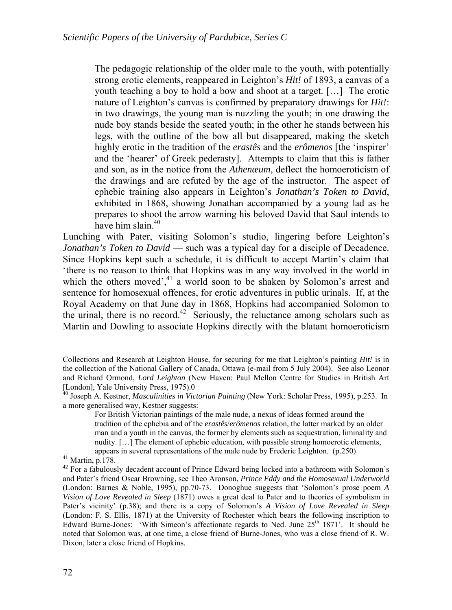The pedagogic relationship of the older male to the youth, with potentially strong erotic elements, reappeared in Leighton's *Hit!* of 1893, a canvas of a youth teaching a boy to hold a bow and shoot at a target. […] The erotic nature of Leighton's canvas is confirmed by preparatory drawings for *Hit!*: in two drawings, the young man is nuzzling the youth; in one drawing the nude boy stands beside the seated youth; in the other he stands between his legs, with the outline of t[he](#page-9-0) bow all but disappeared, making the sketch highly erotic in the tradition of the *erastês* and the *erômenos* [the 'inspirer' and the 'hearer' of Greek pederasty]. Attempts to claim that this is father and son, as in the notice from the *Athenæum*, deflect the homoeroticism of the drawings and are refuted by the age of the instructor. The aspect of ephebic training also appear[s in](#page-9-1) Leighton's *Jonathan's Token to David*, exhibited in 1868, showing Jonathan accompanied by a young lad as he prepares to shoot the arrow warn[ing](#page-9-2) his beloved David that Saul intends to have him slain. $40$ 

Lunching with Pater, visiting Solomon's studio, lingering before Leighton's *Jonathan's Token to David* — such was a typical day for a disciple of Decadence. Since Hopkins kept such a schedule, it is difficult to accept Martin's claim that 'there is no reason to think that Hopkins was in any way involved in the world in which the others moved', $41$  a world soon to be shaken by Solomon's arrest and sentence for homosexual offences, for erotic adventures in public urinals. If, at the Royal Academy on that June day in 1868, Hopkins had accompanied Solomon to the urinal, there is no record.<sup>42</sup> Seriously, the reluctance among scholars such as Martin and Dowling to associate Hopkins directly with the blatant homoeroticism

Collections and Research at Leighton House, for securing for me that Leighton's painting *Hit!* is in the collection of the National Gallery of Canada, Ottawa (e-mail from 5 July 2004). See also Leonor and Richard Ormond, *Lord Leighton* (New Haven: Paul Mellon Centre for Studies in British Art [London], Yale University Press, 1975).0<br><sup>40</sup> Isaach A. *K*orda and *Martia* and *Martia* and *Martia* and *Martia* and *Martia* 

<span id="page-9-0"></span><sup>[</sup>London], Yale University Press, 1975).0 40 Joseph A. Kestner, *Masculinities in Victorian Painting* (New York: Scholar Press, 1995), p.253. In a more generalised way, Kestner suggests:

For British Victorian paintings of the male nude, a nexus of ideas formed around the tradition of the ephebia and of the *erastês*/*erômenos* relation, the latter marked by an older man and a youth in the canvas, the former by elements such as sequestration, liminality and nudity. […] The element of ephebic education, with possible strong homoerotic elements,

<span id="page-9-2"></span><span id="page-9-1"></span>

appears in several representations of the male nude by Frederic Leighton. (p.250)<br><sup>41</sup> Martin, p.178.<br><sup>42</sup> For a fabulously decadent account of Prince Edward being locked into a bathroom with Solomon's and Pater's friend Oscar Browning, see Theo Aronson, *Prince Eddy and the Homosexual Underworld* (London: Barnes & Noble, 1995), pp.70-73. Donoghue suggests that 'Solomon's prose poem *A Vision of Love Revealed in Sleep* (1871) owes a great deal to Pater and to theories of symbolism in Pater's vicinity' (p.38); and there is a copy of Solomon's *A Vision of Love Revealed in Sleep* (London: F. S. Ellis, 1871) at the University of Rochester which bears the following inscription to Edward Burne-Jones: 'With Simeon's affectionate regards to Ned. June  $25<sup>th</sup> 1871$ <sup>\*</sup>. It should be noted that Solomon was, at one time, a close friend of Burne-Jones, who was a close friend of R. W. Dixon, later a close friend of Hopkins.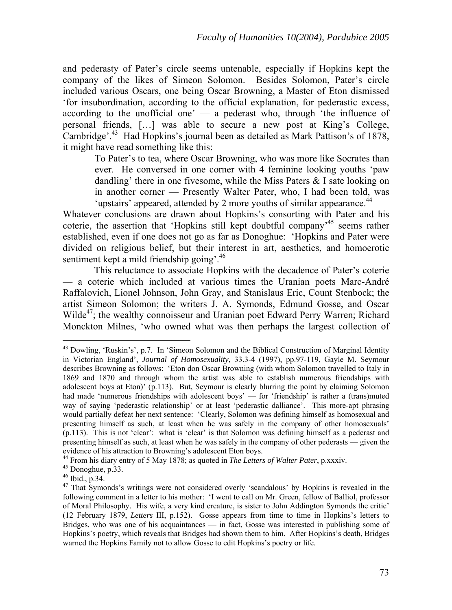and pederasty of Pater's circle seems untenable, especially if Hopkins kept the company of the likes of Simeon Solomon. Besides Solomon, Pater's circle included various Oscars, one being Oscar Browning, a Master of Eton dismissed 'for insubordination, according to the official explanation, for pederastic excess, according to the unofficial one' — a pederast who, through 'the influence of personal friends, […] was able to secure a new post at King's College, Cambridge'.43 Had Hopkins's journal been as detailed as Mark Pattison's of 1[87](#page-10-0)8, it might have read something like this:

To Pater's to tea, where Oscar Browning, who was more like Socrates than ever. He conversed in one corner with 4 [fe](#page-10-1)minine looking youths 'paw dandling' there in one fivesome, while the Miss Paters & I sate looking on in another corner — Presently Walter Pater, who, I had been told, was 'upstairs' appeared, attended by 2 more youths of similar appearance. $44$ 

Whatever conclusions are drawn about Hopkins's consorting with Pater and his coterie, the asser[tio](#page-10-2)n that 'Hopkins still kept doubtful company'45 seems rather established, even if one does not go as far as Donoghue: 'Hopkins and Pater were divided on religious belief, but their interest in art, aesthetics, and homoerotic sentiment kept a mild friendship going'.<sup>46</sup>

This reluctance to associate Hopkins with the decadence of Pater's coterie — a coterie which included at various times the Uranian poets Marc-André Raffalovich, Lionel Johnson, John Gray, and Stanislaus Eric, Count Stenbock; the artist Simeon Solomon; the writers J. A. Symonds, Edmund Gosse, and Oscar Wilde<sup>47</sup>; the wealthy connoisseur and Uranian poet Edward Perry Warren; Richard Monckton Milnes, 'who owned what was then perhaps the largest collection of

<sup>43</sup> Dowling, 'Ruskin's', p.7. In 'Simeon Solomon and the Biblical Construction of Marginal Identity in Victorian England', *Journal of Homosexuality*, 33.3-4 (1997), pp.97-119, Gayle M. Seymour describes Browning as follows: 'Eton don Oscar Browning (with whom Solomon travelled to Italy in 1869 and 1870 and through whom the artist was able to establish numerous friendships with adolescent boys at Eton)' (p.113). But, Seymour is clearly blurring the point by claiming Solomon had made 'numerous friendships with adolescent boys' — for 'friendship' is rather a (trans)muted way of saying 'pederastic relationship' or at least 'pederastic dalliance'. This more-apt phrasing would partially defeat her next sentence: 'Clearly, Solomon was defining himself as homosexual and presenting himself as such, at least when he was safely in the company of other homosexuals' (p.113). This is not 'clear': what is 'clear' is that Solomon was defining himself as a pederast and presenting himself as such, at least when he was safely in the company of other pederasts — given the

<span id="page-10-0"></span>

<span id="page-10-2"></span><span id="page-10-1"></span>

<sup>&</sup>lt;sup>44</sup> From his diary entry of 5 May 1878; as quoted in *The Letters of Walter Pater*, p.xxxiv.<br><sup>45</sup> Donoghue, p.33.<br><sup>46</sup> Ibid., p.34.<br><sup>47</sup> That Symonds's writings were not considered overly 'scandalous' by Hopkins is revea following comment in a letter to his mother: 'I went to call on Mr. Green, fellow of Balliol, professor of Moral Philosophy. His wife, a very kind creature, is sister to John Addington Symonds the critic' (12 February 1879, *Letters* III, p.152). Gosse appears from time to time in Hopkins's letters to Bridges, who was one of his acquaintances — in fact, Gosse was interested in publishing some of Hopkins's poetry, which reveals that Bridges had shown them to him. After Hopkins's death, Bridges warned the Hopkins Family not to allow Gosse to edit Hopkins's poetry or life.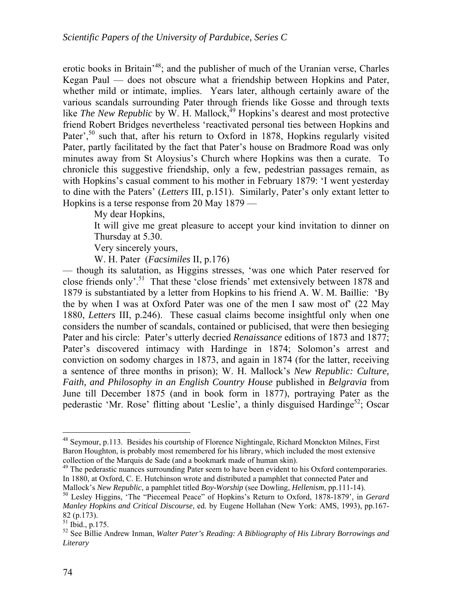erotic books in Britain<sup>,48</sup>; and the publisher of much of the Uranian verse, Charles Kegan Paul — does not obscure what a friendship between Hopkins and Pater, whether mild or intimate, implies. Years later, although certainly aware of the various scandals surrounding Pater through friends like Gosse and through texts like *The New Republic* by W. H. Mallock,<sup>49</sup> Hopkins's dearest and most protective friend Robert Bridges nevertheless 'reactivated personal ties between Hopkins and Pater',<sup>50</sup> such that, after his return to Oxford in 1878, Hopkins regularly visited Pater, partly facilitated by the fact that Pater's house on Bradmore Road was only minutes away from St Aloysius's Church where Hopkins was then a curate. To chronicle this suggestive friendship, only a few, pedestrian passages remain, as with Hopkins's casual comment to his mother in February 1879: 'I went yesterday to dine with the Paters' (*Lette[rs](#page-11-1)* III, p.151). Similarly, Pater's only extant letter to Hopkins is a terse response from 20 May 1879 —

My dear Hopkins,

It will give me great pleasure to accept your kind invitation to dinner on Thursday at 5.30.

Very sincerely yours,

W. H. Pater (*Facsimiles* II, p.176)

— though its salutation, as Higgins stresses, 'was one which Pater reserved for close friends only'.51 That these 'close friends' met extensively between 1878 and 1879 is substantiated by a letter from Hopkins to his friend A. W. M. Baillie: 'By the by when I was at Oxford Pater was one of the men I saw most of' (22 May 1880, *Letters* III, p.246). These casual claims become insightful only when one considers the number of scandals, contained or publicised, that were then besieging Pater and his circle: Pater's utterly decried *Renaissance* editions of 1873 and 1877; Pater's discovered intimacy with Hardinge in 1874; Solomon's arrest and conviction on sodomy charges in 1873, and again in 1874 (for the latter, receiving a sentence of three months in prison); W. H. Mallock's *New Republic: Culture, Faith, and Philosophy in an English Country House* published in *Belgravia* from June till December 1875 (and in book form in 1877), portraying Pater as the pederastic 'Mr. Rose' flitting about 'Leslie', a thinly disguised Hardinge<sup>52</sup>; Oscar

In 1880, at Oxford, C. E. Hutchinson wrote and distributed a pamphlet that connected Pater and Mallock's New Republic, a pamphlet titled Boy-Worship (see Dowling, Hellenism, pp.111-14).

<sup>48</sup> Seymour, p.113. Besides his courtship of Florence Nightingale, Richard Monckton Milnes, First Baron Houghton, is probably most remembered for his library, which included the most extensive collection of the Marquis de Sade (and a bookmark made of human skin).<br><sup>49</sup> The pederastic nuances surrounding Pater seem to have been evident to his Oxford contemporaries.

<span id="page-11-0"></span>mallock Figure 1 Prepared *Box-Worshippers*, a part of Hopkins<sup>3</sup>'s Return to Oxford, 1878-1879', in *Gerard Manley Hopkins and Critical Discourse*, ed. by Eugene Hollahan (New York: AMS, 1993), pp.167-

<span id="page-11-1"></span>

<sup>82 (</sup>p.173).<br><sup>51</sup> Ibid., p.175.<br><sup>52</sup> See Billie Andrew Inman, *Walter Pater's Reading: A Bibliography of His Library Borrowings and Literary*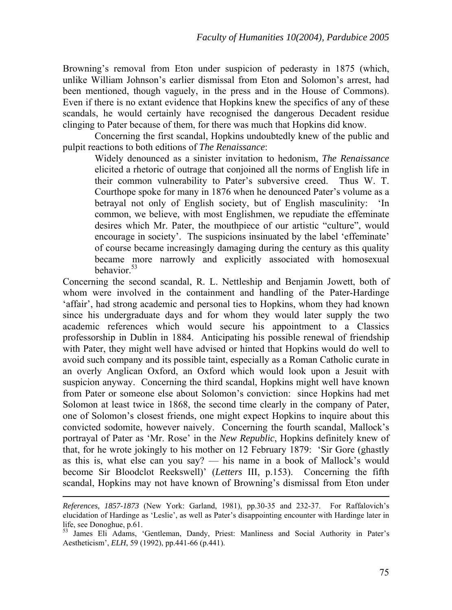Browning's removal from Eton under suspicion of pederasty in 1875 (which, unlike William Johnson's earlier dismissal from Eton and Solomon's arrest, had been mentioned, though vaguely, in the press and in the House of Commons). Even if there is no extant evidence that Hopkins knew the specifics of any of these scandals, he would certainly have recognised the dangerous Decadent residue clinging to Pater because of them, for there was much that Hopkins did know.

Concerning the first scandal, Hopkins undoubtedly knew of the public and pulpit reactions to both editions of *The Renaissance*:

Widely denounced as a sinister invitation to hedonism, *The Renaissance* elicited a rhetoric of outrage that conjoined all the norms of English life in their common vuln[era](#page-12-0)bility to Pater's subversive creed. Thus W. T. Courthope spoke for many in 1876 when he denounced Pater's volume as a betrayal not only of English society, but of English masculinity: 'In common, we believe, with most Englishmen, we repudiate the effeminate desires which Mr. Pater, the mouthpiece of our artistic "culture", would encourage in society'. The suspicions insinuated by the label 'effeminate' of course became increasingly damaging during the century as this quality became more narrowly and explicitly associated with homosexual behavior.<sup>53</sup>

Concerning the second scandal, R. L. Nettleship and Benjamin Jowett, both of whom were involved in the containment and handling of the Pater-Hardinge 'affair', had strong academic and personal ties to Hopkins, whom they had known since his undergraduate days and for whom they would later supply the two academic references which would secure his appointment to a Classics professorship in Dublin in 1884. Anticipating his possible renewal of friendship with Pater, they might well have advised or hinted that Hopkins would do well to avoid such company and its possible taint, especially as a Roman Catholic curate in an overly Anglican Oxford, an Oxford which would look upon a Jesuit with suspicion anyway. Concerning the third scandal, Hopkins might well have known from Pater or someone else about Solomon's conviction: since Hopkins had met Solomon at least twice in 1868, the second time clearly in the company of Pater, one of Solomon's closest friends, one might expect Hopkins to inquire about this convicted sodomite, however naively. Concerning the fourth scandal, Mallock's portrayal of Pater as 'Mr. Rose' in the *New Republic*, Hopkins definitely knew of that, for he wrote jokingly to his mother on 12 February 1879: 'Sir Gore (ghastly as this is, what else can you say? — his name in a book of Mallock's would become Sir Bloodclot Reekswell)' (*Letters* III, p.153). Concerning the fifth scandal, Hopkins may not have known of Browning's dismissal from Eton under

*References, 1857-1873* (New York: Garland, 1981), pp.30-35 and 232-37. For Raffalovich's elucidation of Hardinge as 'Leslie', as well as Pater's disappointing encounter with Hardinge later in life, see Donoghue, p.61.<br><sup>53</sup> James Eli Adams, 'Gentleman, Dandy, Priest: Manliness and Social Authority in Pater's

<span id="page-12-0"></span>Aestheticism', *ELH*, 59 (1992), pp.441-66 (p.441).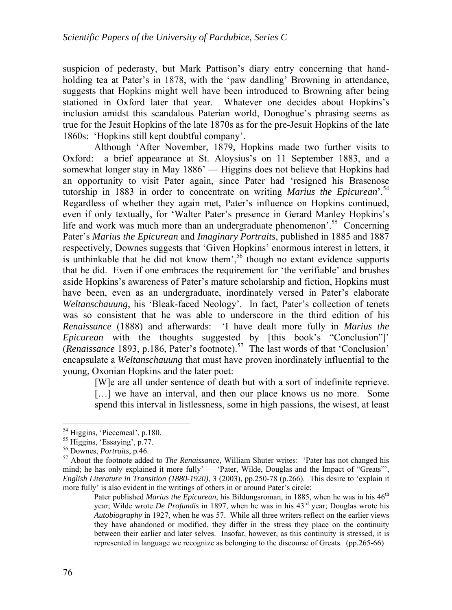suspicion of pederasty, but Mark Pattison's diary entry concerning that handholding tea at Pater's in 1878, with the 'paw dandling' Browning in attendance, suggests that Hopkins might well have been introduced to Browning after being stationed in Oxford later that year. Whatever one decides about Hopkins's inclusion amidst this scandalous Paterian world, Donoghue's phrasing seems as true for the Jesuit Hopkins of the late 1870s as for the pre-Jesuit Hopkins of the [late](#page-13-0) 1860s: 'Hopkins still kept doubtful company'.

Although 'After November, 1879, Hopkins made two further visits to Oxford: a brief appearance at St. Aloysius's on 11 September 1883, and a somewhat longer stay in May 1886' — Higgins does n[ot](#page-13-1) believe that Hopkins had an opportunity to visit Pater again, since Pater had 'resigned his Brasenose tutorship in 1883 in order to concentrate on writing *Marius the Epicurean*'.54 Regardless of whether they again met, Pater's influence on Hopkins continued, even if only textually, for 'Walter Pater's presence in Gerard Manley Hopkins's life and work was much more than an undergraduate phenomenon'.<sup>55</sup> Concerning Pater's *Marius the Epicurean* and *Imaginary Portraits*, published in 1885 and 1887 respectively, Downes suggests that 'Given Hopkins' enormous interest in letters, it is unthinkable that he did not know them',<sup>56</sup> though n[o e](#page-13-2)xtant evidence supports that he did. Even if one embraces the requirement for 'the verifiable' and brushes aside Hopkins's awareness of Pater's mature scholarship and fiction, Hopkins must have been, even as an undergraduate, inordinately versed in Pater's elaborate *Weltanschauung*, his 'Bleak-faced Neology'. In fact, Pater's collection of tenets was so consistent that he was able to underscore in the third edition of his *Renaissance* (1888) and afterwards: 'I have dealt more fully in *Marius the Epicurean* with the thoughts suggested by [this book's "Conclusion"]' (*Renaissance* 1893, p.186, Pater's footnote).57 The last words of that 'Conclusion' encapsulate a *Weltanschauung* that must have proven inordinately influential to the young, Oxonian Hopkins and the later poet:

[W]e are all under sentence of death but with a sort of indefinite reprieve. [...] we have an interval, and then our place knows us no more. Some spend this interval in listlessness, some in high passions, the wisest, at least

<span id="page-13-0"></span>

<span id="page-13-2"></span><span id="page-13-1"></span>

<sup>&</sup>lt;sup>54</sup> Higgins, 'Piecemeal', p.180.<br><sup>55</sup> Higgins, 'Essaying', p.77.<br><sup>56</sup> Downes, *Portraits*, p.46.<br><sup>57</sup> About the footnote added to *The Renaissance*. William Shuter writes: 'Pater has not changed his mind; he has only explained it more fully' — 'Pater, Wilde, Douglas and the Impact of "Greats"', *English Literature in Transition (1880-1920)*, 3 (2003), pp.250-78 (p.266). This desire to 'explain it more fully' is also evident in the writings of others in or around Pater's circle:

Pater published *Marius the Epicurean*, his Bildungsroman, in 1885, when he was in his 46<sup>th</sup> year; Wilde wrote *De Profundis* in 1897, when he was in his 43rd year; Douglas wrote his *Autobiography* in 1927, when he was 57. While all three writers reflect on the earlier views they have abandoned or modified, they differ in the stress they place on the continuity between their earlier and later selves. Insofar, however, as this continuity is stressed, it is represented in language we recognize as belonging to the discourse of Greats. (pp.265-66)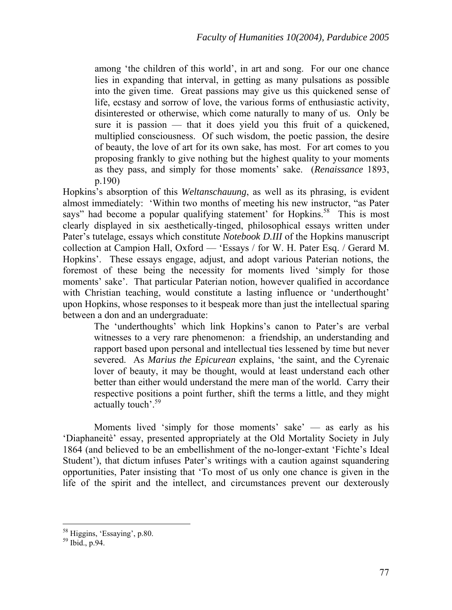among 'the children of this world', in art and song. For our one chance lies in expanding that interval, in getting as many pulsations as possible into the given time. Great passions may give us this quickened sense of life, ecstasy and sorrow of love, the various forms of enthusiastic activity, disinterested or otherwise, which come naturally to many of us. Only be sure it is passion — that it does yield you this fruit of a quick[ene](#page-14-0)d, multiplied consciousness. Of such wisdom, the poetic passion, the desire of beauty, the love of art for its own sake, has most. For art comes to you proposing frankly to give nothing but the highest quality to your moments as they pass, and simply for those moments' sake. (*Renaissance* 1893, p.190)

Hopkins's absorption of this *Weltanschauung*, as well as its phrasing, is evident almost immediately: 'Within two months of meeting his new instructor, "as Pater says" had become a popular qualifying statement' for Hopkins.<sup>58</sup> This is most clearly displayed in six aesthetically-tinged, philosophical essays written under Pater's tutelage, essays which constitute *Notebook D.III* of the Hopkins manuscript collection at Campion Hall, Oxford — 'Essays / for W. H. Pater Esq. / Gerard M. Hopkins'. These essays engage, adjust, and adopt various Paterian notions, the foremost of these being the necessity for moments lived 'simply for those moments' sake'. That particular Paterian notion, however qualified in accordance with Christian teaching, would constitute a lasting influence or 'underthought' upon Hopkins, whose responses to it bespeak more than just the intellectual sparing between a don and an undergradua[te:](#page-14-1) 

The 'underthoughts' which link Hopkins's canon to Pater's are verbal witnesses to a very rare phenomenon: a friendship, an understanding and rapport based upon personal and intellectual ties lessened by time but never severed. As *Marius the Epicurean* explains, 'the saint, and the Cyrenaic lover of beauty, it may be thought, would at least understand each other better than either would understand the mere man of the world. Carry their respective positions a point further, shift the terms a little, and they might actually touch'.59

Moments lived 'simply for those moments' sake' — as early as his 'Diaphaneitè' essay, presented appropriately at the Old Mortality Society in July 1864 (and believed to be an embellishment of the no-longer-extant 'Fichte's Ideal Student'), that dictum infuses Pater's writings with a caution against squandering opportunities, Pater insisting that 'To most of us only one chance is given in the life of the spirit and the intellect, and circumstances prevent our dexterously

<span id="page-14-0"></span> $58$  Higgins, 'Essaying', p.80.<br> $59$  Ibid., p.94.

<span id="page-14-1"></span>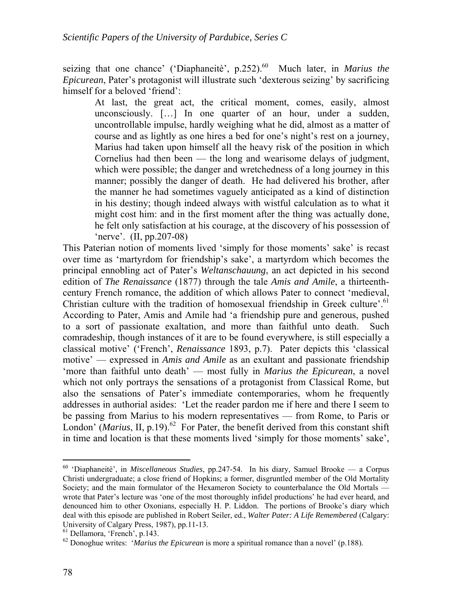seizing that one chance' ('Diaphaneitè', p.252).<sup>60</sup> Much later, in *Marius the Epicurean*, Pater's protagonist will illustrate such 'dexterous seizing' by sacrificing himself for a beloved 'friend':

At last, the great act, the critical moment, comes, easily, almost unconsciously. […] In one quarter of an hour, under a sudden, uncontrollable impulse, hardly weighing what he did, almost as a matter of course and as lightly as one hires a bed for one's night's rest on a journey, Marius had taken upon himself all the heavy risk of the position in which Cornelius had then been — the long and wearisome delays of judgment, which were possible; the danger and wretchedness of a long journey in this manner; possibly the danger of death. He had delivered his brother, after the manner he had sometimes vaguely anticipated as a kind of distinction in his destiny; though indeed always with wistful calculation as to what it might cost him: and in the first moment after the thing was actually done, he felt only satisfaction at his courage, at the discovery of his possession of 'nerve'. (II, pp.207-08)

This Paterian notion of moments lived 'simply for those moments' sake' is recast over time as 'martyrdom for friendship's sake', a martyrdom which becomes the principal ennobling act of Pater's *Weltanschauung*, an act depicted in his second edition of *The Renaissance* (1877) through the tale *Amis and Amile*, a thirteenthcentury French romance, the addition of which allows Pater to connect 'medieval, Christian culture with the tradition of homosexual friendship in Greek culture'.<sup>61</sup> According to Pater, Amis and Amile had 'a friendship pure and generous, pushed to a sort of passionate exaltation, and more than faithful unto death. Such comradeship, though instances of it ar[e to](#page-15-0) be found everywhere, is still especially a classical motive' ('French', *Renaissance* 1893, p.7). Pater depicts this 'classical motive' — expressed in *Amis and Amile* as an exultant and passionate friendship 'more than faithful unto death' — most fully in *Marius the Epicurean*, a novel which not only portrays the sensations of a protagonist from Classical Rome, but also the sensations of Pater's immediate contemporaries, whom he frequently addresses in authorial asides: 'Let the reader pardon me if here and there I seem to be passing from Marius to his modern representatives — from Rome, to Paris or London' (*Marius*, II, p.19).<sup>62</sup> For Pater, the benefit derived from this constant shift in time and location is that these moments lived 'simply for those moments' sake',

<sup>60 &#</sup>x27;Diaphaneitè', in *Miscellaneous Studies*, pp.247-54. In his diary, Samuel Brooke — a Corpus Christi undergraduate; a close friend of Hopkins; a former, disgruntled member of the Old Mortality Society; and the main formulator of the Hexameron Society to counterbalance the Old Mortals wrote that Pater's lecture was 'one of the most thoroughly infidel productions' he had ever heard, and denounced him to other Oxonians, especially H. P. Liddon. The portions of Brooke's diary which deal with this episode are published in Robert Seiler, ed., *Walter Pater: A Life Remembered* (Calgary: University of Calgary Press, 1987), pp.11-13.<br><sup>61</sup> Dellamora, 'French', p.143.<br><sup>62</sup> Donoghue writes: *'Marius the Epicurean* is more a spiritual romance than a novel' (p.188).

<span id="page-15-0"></span>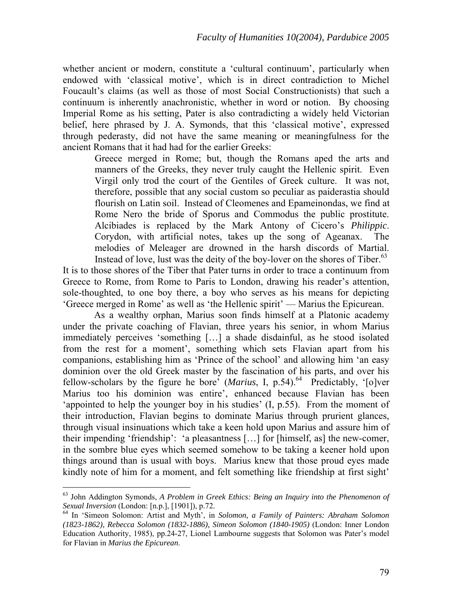whether ancient or modern, constitute a 'cultural continuum', particularly when endowed with 'classical motive', which is in direct contradiction to Michel Foucault's claims (as well as those of most Social Constructionists) that such a continuum is inherently anachronistic, whether in word or notion. By choosing Imperial Rome as his setting, Pater is also contradicting a widely held Victorian belief, here phrased by J. A. Symonds, that this 'classical motive', expressed through pederasty, did not have the same meaning or meaningfulness for the ancient Romans that it had had for the earlier Greeks:

Greece merged in Rome; but, though the Romans aped the arts and manners of the Greeks, they never truly caught the Hellenic spirit. Even Virgil only trod the court of the Gentiles of Greek culture. It was not, therefore, possible that any social custom so peculiar as paiderastia should flourish on Latin soil. Instead of Cleomenes and Epameinondas, we find at Rome Nero the bride of Sporus and Commodus the public prostitute. Alcibiades is replaced by the Mark Antony of Cicero's *Philippic*. Corydon, with artificial notes, takes up the song of Ageanax. The melodies of Meleager are drowned in the harsh discords of Martial. Instead of love, lust was the deity of the boy-lover on the shores of Tiber.<sup>63</sup>

It is to those shores of the Tiber that Pater turns in order to trace a continuum from Greece to Rome, from Rome to Paris to London, drawing his reader's attention, sole-thoughted, to one boy there, a boy who serves as his means f[or](#page-16-0) depicting 'Greece merged in Rome' as well as 'the Hellenic spirit' — Marius the Epicurean.

As a wealthy orphan, Marius soon finds himself at a Platonic academy under the private coaching of Flavian, three years his senior, in whom Marius immediately perceives 'something […] a shade disdainful, as he stood isolated from the rest for a moment', something which sets Flavian apart from his companions, establishing him as 'Prince of the school' and allowing him 'an easy dominion over the old Greek master by the fascination of his parts, and over his fellow-scholars by the figure he bore<sup>'</sup> (*Marius*, I, p.54).<sup>64</sup> Predictably, '[o]ver Marius too his dominion was entire', enhanced because Flavian has been 'appointed to help the younger boy in his studies' (I, p.55). From the moment of their introduction, Flavian begins to dominate Marius through prurient glances, through visual insinuations which take a keen hold upon Marius and assure him of their impending 'friendship': 'a pleasantness […] for [himself, as] the new-comer, in the sombre blue eyes which seemed somehow to be taking a keener hold upon things around than is usual with boys. Marius knew that those proud eyes made kindly note of him for a moment, and felt something like friendship at first sight'

<sup>63</sup> John Addington Symonds, *A Problem in Greek Ethics: Being an Inquiry into the Phenomenon of Sexual Inversion* (London: [n.p.], [1901]), p.72. 64 In 'Simeon Solomon: Artist and Myth', in *Solomon, a Family of Painters: Abraham Solomon* 

<span id="page-16-0"></span>*<sup>(1823-1862),</sup> Rebecca Solomon (1832-1886), Simeon Solomon (1840-1905)* (London: Inner London Education Authority, 1985), pp.24-27, Lionel Lambourne suggests that Solomon was Pater's model for Flavian in *Marius the Epicurean*.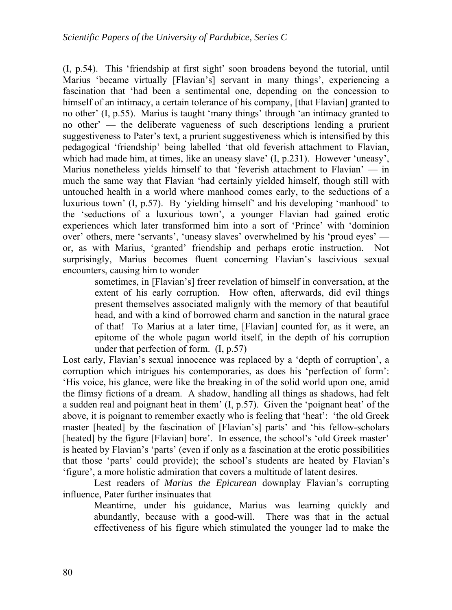(I, p.54). This 'friendship at first sight' soon broadens beyond the tutorial, until Marius 'became virtually [Flavian's] servant in many things', experiencing a fascination that 'had been a sentimental one, depending on the concession to himself of an intimacy, a certain tolerance of his company, [that Flavian] granted to no other' (I, p.55). Marius is taught 'many things' through 'an intimacy granted to no other' — the deliberate vagueness of such descriptions lending a prurient suggestiveness to Pater's text, a prurient suggestiveness which is intensified by this pedagogical 'friendship' being labelled 'that old feverish attachment to Flavian, which had made him, at times, like an uneasy slave' (I, p.231). However 'uneasy', Marius nonetheless yields himself to that 'feverish attachment to Flavian' — in much the same way that Flavian 'had certainly yielded himself, though still with untouched health in a world where manhood comes early, to the seductions of a luxurious town' (I, p.57). By 'yielding himself' and his developing 'manhood' to the 'seductions of a luxurious town', a younger Flavian had gained erotic experiences which later transformed him into a sort of 'Prince' with 'dominion over' others, mere 'servants', 'uneasy slaves' overwhelmed by his 'proud eyes' or, as with Marius, 'granted' friendship and perhaps erotic instruction. Not surprisingly, Marius becomes fluent concerning Flavian's lascivious sexual encounters, causing him to wonder

sometimes, in [Flavian's] freer revelation of himself in conversation, at the extent of his early corruption. How often, afterwards, did evil things present themselves associated malignly with the memory of that beautiful head, and with a kind of borrowed charm and sanction in the natural grace of that! To Marius at a later time, [Flavian] counted for, as it were, an epitome of the whole pagan world itself, in the depth of his corruption under that perfection of form. (I, p.57)

Lost early, Flavian's sexual innocence was replaced by a 'depth of corruption', a corruption which intrigues his contemporaries, as does his 'perfection of form': 'His voice, his glance, were like the breaking in of the solid world upon one, amid the flimsy fictions of a dream. A shadow, handling all things as shadows, had felt a sudden real and poignant heat in them' (I, p.57). Given the 'poignant heat' of the above, it is poignant to remember exactly who is feeling that 'heat': 'the old Greek master [heated] by the fascination of [Flavian's] parts' and 'his fellow-scholars [heated] by the figure [Flavian] bore'. In essence, the school's 'old Greek master' is heated by Flavian's 'parts' (even if only as a fascination at the erotic possibilities that those 'parts' could provide); the school's students are heated by Flavian's 'figure', a more holistic admiration that covers a multitude of latent desires.

Lest readers of *Marius the Epicurean* downplay Flavian's corrupting influence, Pater further insinuates that

Meantime, under his guidance, Marius was learning quickly and abundantly, because with a good-will. There was that in the actual effectiveness of his figure which stimulated the younger lad to make the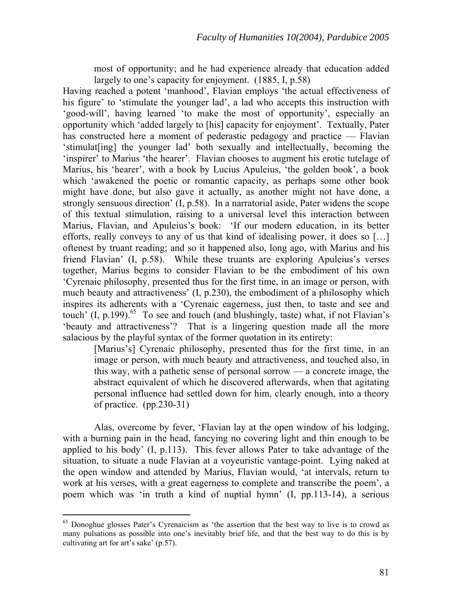most of opportunity; and he had experience already that education added largely to one's capacity for enjoyment. (1885, I, p.58)

Having reached a potent 'manhood', Flavian employs 'the actual effectiveness of his figure' to 'stimulate the younger lad', a lad who accepts this instruction with 'good-will', having learned 'to make the most of opportunity', especially an opportunity which 'added largely to [his] capacity for enjoyment'. Textually, Pater has constructed here a moment of pederastic pedagogy and practice — Flavian 'stimulat[ing] the younger lad' both sexually and intellectually, becoming the 'inspirer' to Marius 'the hearer'. Flavian chooses to augment his erotic tutelage of Marius, his 'hearer', with a book by Lucius Apuleius, 'the golden book', a book which 'awakened the poetic or romantic capacity, as perhaps some other book might have done, but also gave it actually, as another might not have done, a strongly sensuous direction' (I, p.58). In a narratorial aside, Pater widens the scope of this textual stimulation, raising to a universal level this interaction between Marius, Flavian, and Apul[eius](#page-18-0)'s book: 'If our modern education, in its better efforts, really conveys to any of us that kind of idealising power, it does so […] oftenest by truant reading; and so it happened also, long ago, with Marius and his friend Flavian' (I, p.58). While these truants are exploring Apuleius's verses together, Marius begins to consider Flavian to be the embodiment of his own 'Cyrenaic philosophy, presented thus for the first time, in an image or person, with much beauty and attractiveness' (I, p.230), the embodiment of a philosophy which inspires its adherents with a 'Cyrenaic eagerness, just then, to taste and see and touch'  $(I, p.199)$ <sup>65</sup> To see and touch (and blushingly, taste) what, if not Flavian's 'beauty and attractiveness'? That is a lingering question made all the more salacious by the playful syntax of the former quotation in its entirety:

[Marius's] Cyrenaic philosophy, presented thus for the first time, in an image or person, with much beauty and attractiveness, and touched also, in this way, with a pathetic sense of personal sorrow — a concrete image, the abstract equivalent of which he discovered afterwards, when that agitating personal influence had settled down for him, clearly enough, into a theory of practice. (pp.230-31)

Alas, overcome by fever, 'Flavian lay at the open window of his lodging, with a burning pain in the head, fancying no covering light and thin enough to be applied to his body' (I, p.113). This fever allows Pater to take advantage of the situation, to situate a nude Flavian at a voyeuristic vantage-point. Lying naked at the open window and attended by Marius, Flavian would, 'at intervals, return to work at his verses, with a great eagerness to complete and transcribe the poem', a poem which was 'in truth a kind of nuptial hymn' (I, pp.113-14), a serious

<span id="page-18-0"></span><sup>&</sup>lt;sup>65</sup> Donoghue glosses Pater's Cyrenaicism as 'the assertion that the best way to live is to crowd as many pulsations as possible into one's inevitably brief life, and that the best way to do this is by cultivating art for art's sake' (p.57).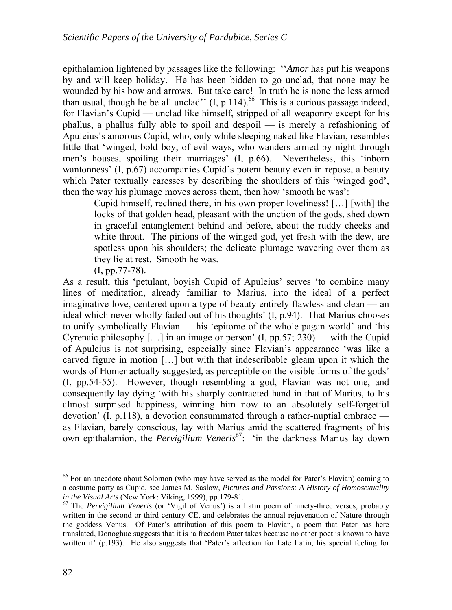epithalamion lightened by passages like the following: ''*Amor* has put his weapons by and will keep holiday. He has been bidden to go unclad, that none may be wounded by his bow and arrows. But take care! In truth he is none the less armed than usual, though he be all unclad''  $(I, p.114)$ <sup>66</sup>. This is a curious passage indeed, for Flavian's Cupid — unclad like himself, stripped of all weaponry except for his phallus, a phallus fully able to spoil and despoil — is merely a refashioning of Apuleius's amorous Cupid, who, only while sleeping naked like Flavian, resembles little that 'winged, bold boy, of evil ways, who wanders armed by night through men's houses, spoiling their marriages' (I, p.66). Nevertheless, this 'inborn wantonness' (I, p.67) accompanies Cupid's potent beauty even in repose, a beauty which Pater textually caresses by describing the shoulders of this 'winged god', then the way his plumage moves across them, then how 'smooth he was':

Cupid himself, reclined there, in his own proper loveliness! […] [with] the locks of that golden head, pleasant with the unction of the gods, shed down in graceful entanglement behind and before, about the ruddy cheeks and white throat. The pinions of the winged god, yet fresh with the dew, are spotless upon his shoulders; the delicate plumage wavering over them as they lie at rest. Smooth he was.

(I, pp.77-78).

As a result, this 'petulant, boyish Cupid of Apuleius' serves 'to combine many lines of meditation, already familiar to Marius, into the ideal of a perfect imaginative love, centered upon a type of beauty entirely flawless and clean — an ideal which never wholly faded out of his thoughts' (I, p.94). That Marius chooses to unify symbolically Flavian — his 'epitome of the whole pagan world' and 'his Cyrenaic philosophy  $[\dots]$  in an image or person'  $(I, pp.57; 230)$  — with the Cupid of Apuleius is not surprising, especially since Flavia[n's](#page-19-0) appearance 'was like a carved figure in motion […] but with that indescribable gleam upon it which the words of Homer actually suggested, as perceptible on the visible forms of the gods' (I, pp.54-55). However, though resembling a god, Flavian was not one, and consequently lay dying 'with his sharply contracted hand in that of Marius, to his almost surprised happiness, winning him now to an absolutely self-forgetful devotion' (I, p.118), a devotion consummated through a rather-nuptial embrace as Flavian, barely conscious, lay with Marius amid the scattered fragments of his own epithalamion, the *Pervigilium Veneris*67: 'in the darkness Marius lay down

<sup>&</sup>lt;sup>66</sup> For an anecdote about Solomon (who may have served as the model for Pater's Flavian) coming to a costume party as Cupid, see James M. Saslow, *Pictures and Passions: A History of Homosexuality* 

<span id="page-19-0"></span><sup>&</sup>lt;sup>67</sup> The *Pervigilium Veneris* (or 'Vigil of Venus') is a Latin poem of ninety-three verses, probably written in the second or third century CE, and celebrates the annual rejuvenation of Nature through the goddess Venus. Of Pater's attribution of this poem to Flavian, a poem that Pater has here translated, Donoghue suggests that it is 'a freedom Pater takes because no other poet is known to have written it' (p.193). He also suggests that 'Pater's affection for Late Latin, his special feeling for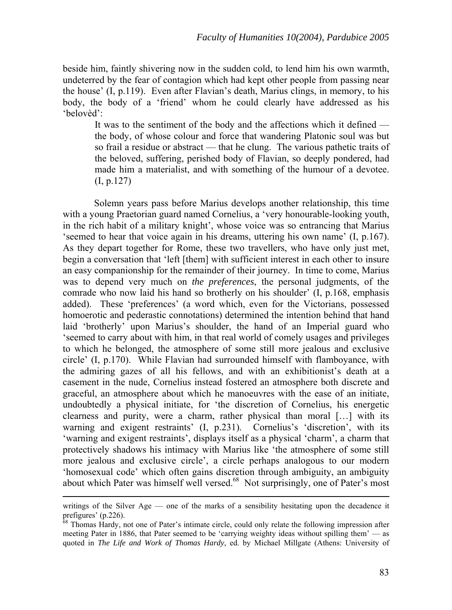beside him, faintly shivering now in the sudden cold, to lend him his own warmth, undeterred by the fear of contagion which had kept other people from passing near the house' (I, p.119). Even after Flavian's death, Marius clings, in memory, to his body, the body of a 'friend' whom he could clearly have addressed as his 'belovèd':

It was to the sentiment of the body and the affections which it defined the body, of whose colour and force that wandering Platonic soul was but so frail a residue or abstract — that he clung. The various pathetic traits of the beloved, suffering, perished body of Flavian, so deeply pondered, had made him a materialist, and with something of the humour of a devotee. (I, p.127)

Solemn years pass before Marius develops another relationship, this time with a young Praetorian guard named Cornelius, a 'very honourable-looking youth, in the rich habit of a military knight', whose voice was so entrancing that Marius 'seemed to hear that voice again in his dreams, uttering his own name' (I, p.167). As they depart together for Rome, these two travellers, who have only just met, begin a conversation that 'left [them] with sufficient interest in each other to insure an easy companionship for the remainder of their journey. In time to come, Marius was to depend very much on *the preferences*, the personal judgments, of the comrade who now laid his hand so brotherly on his shoulder' (I, p.168, emphasis added). These 'preferences' (a word which, even for the Victorians, possessed homoerotic and pederastic connotations) determined the intention behind that hand laid 'brotherly' upon Marius's shoulder, the hand of an Imperial guard who 'seemed to carry about with him, in that real world of comely usages and privileges to which he belonged, the atmosphere of some still more jealous and exclusive circle' (I, p.170). While Flavian had surrounded himself with flamboyance, with the admiring gazes of all his fellows, and with an exhibitionist's death at a casement in the nude, Cornelius instead fostered an atmosphere both discrete and graceful, an atmosphere about which he manoeuvres [wi](#page-20-0)th the ease of an initiate, undoubtedly a physical initiate, for 'the discretion of Cornelius, his energetic clearness and purity, were a charm, rather physical than moral […] with its warning and exigent restraints' (I, p.231). Cornelius's 'discretion', with its 'warning and exigent restraints', displays itself as a physical 'charm', a charm that protectively shadows his intimacy with Marius like 'the atmosphere of some still more jealous and exclusive circle', a circle perhaps analogous to our modern 'homosexual code' which often gains discretion through ambiguity, an ambiguity about which Pater was himself well versed.<sup>68</sup> Not surprisingly, one of Pater's most

writings of the Silver Age — one of the marks of a sensibility hesitating upon the decadence it prefigures'  $(p.226)$ .

<span id="page-20-0"></span> $\frac{68}{68}$  Thomas Hardy, not one of Pater's intimate circle, could only relate the following impression after meeting Pater in 1886, that Pater seemed to be 'carrying weighty ideas without spilling them' — as quoted in *The Life and Work of Thomas Hardy*, ed. by Michael Millgate (Athens: University of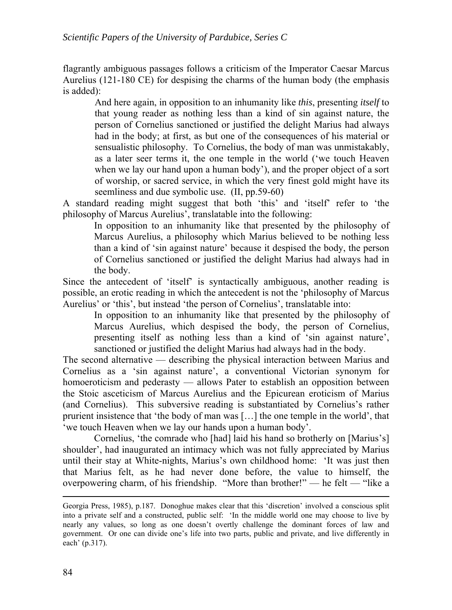flagrantly ambiguous passages follows a criticism of the Imperator Caesar Marcus Aurelius (121-180 CE) for despising the charms of the human body (the emphasis is added):

And here again, in opposition to an inhumanity like *this*, presenting *itself* to that young reader as nothing less than a kind of sin against nature, the person of Cornelius sanctioned or justified the delight Marius had always had in the body; at first, as but one of the consequences of his material or sensualistic philosophy. To Cornelius, the body of man was unmistakably, as a later seer terms it, the one temple in the world ('we touch Heaven when we lay our hand upon a human body'), and the proper object of a sort of worship, or sacred service, in which the very finest gold might have its seemliness and due symbolic use. (II, pp.59-60)

A standard reading might suggest that both 'this' and 'itself' refer to 'the philosophy of Marcus Aurelius', translatable into the following:

In opposition to an inhumanity like that presented by the philosophy of Marcus Aurelius, a philosophy which Marius believed to be nothing less than a kind of 'sin against nature' because it despised the body, the person of Cornelius sanctioned or justified the delight Marius had always had in the body.

Since the antecedent of 'itself' is syntactically ambiguous, another reading is possible, an erotic reading in which the antecedent is not the 'philosophy of Marcus Aurelius' or 'this', but instead 'the person of Cornelius', translatable into:

In opposition to an inhumanity like that presented by the philosophy of Marcus Aurelius, which despised the body, the person of Cornelius, presenting itself as nothing less than a kind of 'sin against nature', sanctioned or justified the delight Marius had always had in the body.

The second alternative — describing the physical interaction between Marius and Cornelius as a 'sin against nature', a conventional Victorian synonym for homoeroticism and pederasty — allows Pater to establish an opposition between the Stoic asceticism of Marcus Aurelius and the Epicurean eroticism of Marius (and Cornelius). This subversive reading is substantiated by Cornelius's rather prurient insistence that 'the body of man was […] the one temple in the world', that 'we touch Heaven when we lay our hands upon a human body'.

Cornelius, 'the comrade who [had] laid his hand so brotherly on [Marius's] shoulder', had inaugurated an intimacy which was not fully appreciated by Marius until their stay at White-nights, Marius's own childhood home: 'It was just then that Marius felt, as he had never done before, the value to himself, the overpowering charm, of his friendship. "More than brother!" — he felt — "like a

Georgia Press, 1985), p.187. Donoghue makes clear that this 'discretion' involved a conscious split into a private self and a constructed, public self: 'In the middle world one may choose to live by nearly any values, so long as one doesn't overtly challenge the dominant forces of law and government. Or one can divide one's life into two parts, public and private, and live differently in each' (p.317).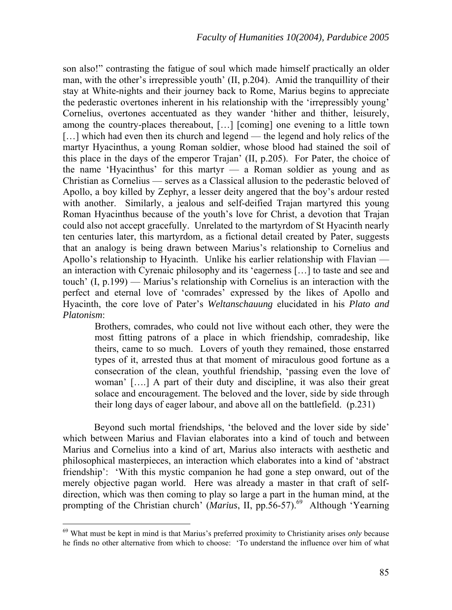son also!" contrasting the fatigue of soul which made himself practically an older man, with the other's irrepressible youth' (II, p.204). Amid the tranquillity of their stay at White-nights and their journey back to Rome, Marius begins to appreciate the pederastic overtones inherent in his relationship with the 'irrepressibly young' Cornelius, overtones accentuated as they wander 'hither and thither, leisurely, among the country-places thereabout, […] [coming] one evening to a little town [...] which had even then its church and legend — the legend and holy relics of the martyr Hyacinthus, a young Roman soldier, whose blood had stained the soil of this place in the days of the emperor Trajan' (II, p.205). For Pater, the choice of the name 'Hyacinthus' for this martyr  $-$  a Roman soldier as young and as Christian as Cornelius — serves as a Classical allusion to the pederastic beloved of Apollo, a boy killed by Zephyr, a lesser deity angered that the boy's ardour rested with another. Similarly, a jealous and self-deified Trajan martyred this young Roman Hyacinthus because of the youth's love for Christ, a devotion that Trajan could also not accept gracefully. Unrelated to the martyrdom of St Hyacinth nearly ten centuries later, this martyrdom, as a fictional detail created by Pater, suggests that an analogy is being drawn between Marius's relationship to Cornelius and Apollo's relationship to Hyacinth. Unlike his earlier relationship with Flavian an interaction with Cyrenaic philosophy and its 'eagerness […] to taste and see and touch' (I, p.199) — Marius's relationship with Cornelius is an interaction with the perfect and eternal love of 'comrades' expressed by the likes of Apollo and Hyacinth, the core love of Pater's *Weltanschauung* elucidated in his *Plato and Platonism*:

Brothers, comrades, who could not live without each other, they were the most fitting patrons of a place in which friendship, comradeship, like theirs, came to so much. Lovers of youth they remained, those enstarred types of it, arrested thus at that moment of miraculous good fortune as a consecration of the clean, youthful friendship, 'passing even the love of woman' [….] A part of their duty and discipline, it was also their great solace and encouragement. The beloved and the lover, side by side through their long days of eager labour, and above all on the battlefield. [\(p](#page-22-0).231)

Beyond such mortal friendships, 'the beloved and the lover side by side' which between Marius and Flavian elaborates into a kind of touch and between Marius and Cornelius into a kind of art, Marius also interacts with aesthetic and philosophical masterpieces, an interaction which elaborates into a kind of 'abstract friendship':'With this mystic companion he had gone a step onward, out of the merely objective pagan world. Here was already a master in that craft of selfdirection, which was then coming to play so large a part in the human mind, at the prompting of the Christian church' (*Marius*, II, pp.56-57).<sup>69</sup> Although 'Yearning

<span id="page-22-0"></span><sup>69</sup> What must be kept in mind is that Marius's preferred proximity to Christianity arises *only* because he finds no other alternative from which to choose: 'To understand the influence over him of what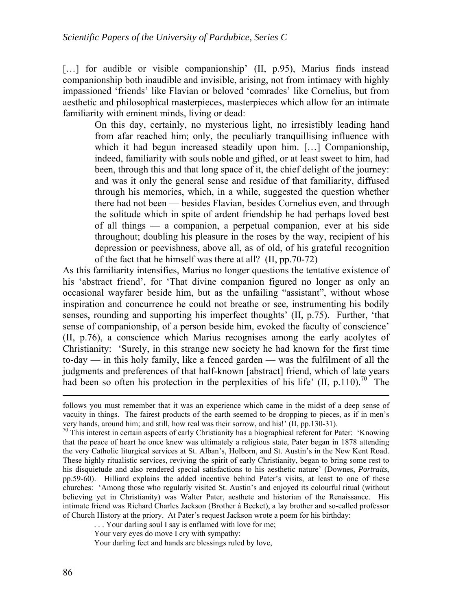[...] for audible or visible companionship' (II, p.95), Marius finds instead companionship both inaudible and invisible, arising, not from intimacy with highly impassioned 'friends' like Flavian or beloved 'comrades' like Cornelius, but from aesthetic and philosophical masterpieces, masterpieces which allow for an intimate familiarity with eminent minds, living or dead:

On this day, certainly, no mysterious light, no irresistibly leading hand from afar reached him; only, the peculiarly tranquillising influence with which it had begun increased steadily upon him. […] Companionship, indeed, familiarity with souls noble and gifted, or at least sweet to him, had been, through this and that long space of it, the chief delight of the journey: and was it only the general sense and residue of that familiarity, diffused through his memories, which, in a while, suggested the question whether there had not been — besides Flavian, besides Cornelius even, and through the solitude which in spite of ardent friendship he had perhaps loved best of all things — a companion, a perpetual companion, ever at his side throughout; doubling his pleasure in the roses by the way, recipient of his depression or peevishness, above all, as of old, of his grateful recognition of the fact that he himself was there at all? (II, pp.70-72)

As this familiarity intensifies, Marius no longer questions the tentative existence of his 'abstract friend', for 'That divine companion figured no longer as only an occasional wayfarer beside him, but as the unfailing "assistant", without whose inspiration and concurrence he could not breathe or see, instrumenting his bodily senses, rounding and supporting his imperfect thoughts' (II, p.75). Further, 'that sense of companionship, of a person beside him, evoked the faculty of conscience' (II, p.76), a conscience which Marius recognises among the early acolytes of Christianity: 'Surely, in this strange new society he had known for the first time to-day — in this holy family, like a fenced garden — was the fulfilment of all the judgments and preferences of that half-known [abstract] friend, which of late years had been so often his protection in the perplexities of his life' (II, p.110).<sup>70</sup> The

. . . Your darling soul I say is enflamed with love for me;

Your very eyes do move I cry with sympathy:

Your darling feet and hands are blessings ruled by love,

follows you must remember that it was an experience which came in the midst of a deep sense of vacuity in things. The fairest products of the earth seemed to be dropping to pieces, as if in men's very hands, around him; and still, how real was their sorrow, and his!' (II, pp.130-31).<br><sup>70</sup> This interest in certain aspects of early Christianity has a biographical referent for Pater: 'Knowing

that the peace of heart he once knew was ultimately a religious state, Pater began in 1878 attending the very Catholic liturgical services at St. Alban's, Holborn, and St. Austin's in the New Kent Road. These highly ritualistic services, reviving the spirit of early Christianity, began to bring some rest to his disquietude and also rendered special satisfactions to his aesthetic nature' (Downes, *Portraits*, pp.59-60). Hilliard explains the added incentive behind Pater's visits, at least to one of these churches: 'Among those who regularly visited St. Austin's and enjoyed its colourful ritual (without believing yet in Christianity) was Walter Pater, aesthete and historian of the Renaissance. His intimate friend was Richard Charles Jackson (Brother à Becket), a lay brother and so-called professor of Church History at the priory. At Pater's request Jackson wrote a poem for his birthday: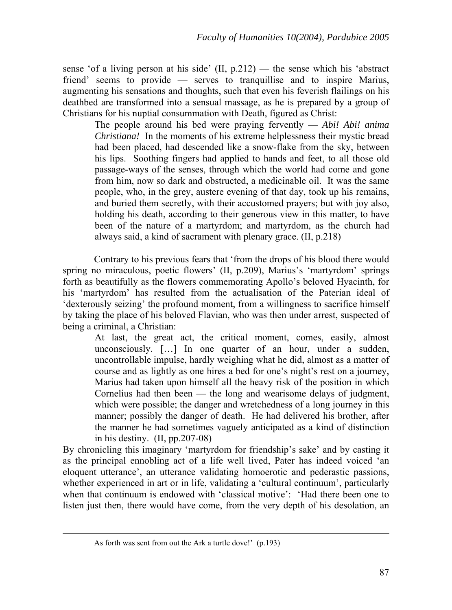sense 'of a living person at his side' (II, p.212) — the sense which his 'abstract friend' seems to provide — serves to tranquillise and to inspire Marius, augmenting his sensations and thoughts, such that even his feverish flailings on his deathbed are transformed into a sensual massage, as he is prepared by a group of Christians for his nuptial consummation with Death, figured as Christ:

The people around his bed were praying fervently — *Abi! Abi! anima Christiana!* In the moments of his extreme helplessness their mystic bread had been placed, had descended like a snow-flake from the sky, between his lips. Soothing fingers had applied to hands and feet, to all those old passage-ways of the senses, through which the world had come and gone from him, now so dark and obstructed, a medicinable oil. It was the same people, who, in the grey, austere evening of that day, took up his remains, and buried them secretly, with their accustomed prayers; but with joy also, holding his death, according to their generous view in this matter, to have been of the nature of a martyrdom; and martyrdom, as the church had always said, a kind of sacrament with plenary grace. (II, p.218)

Contrary to his previous fears that 'from the drops of his blood there would spring no miraculous, poetic flowers' (II, p.209), Marius's 'martyrdom' springs forth as beautifully as the flowers commemorating Apollo's beloved Hyacinth, for his 'martyrdom' has resulted from the actualisation of the Paterian ideal of 'dexterously seizing' the profound moment, from a willingness to sacrifice himself by taking the place of his beloved Flavian, who was then under arrest, suspected of being a criminal, a Christian:

At last, the great act, the critical moment, comes, easily, almost unconsciously. […] In one quarter of an hour, under a sudden, uncontrollable impulse, hardly weighing what he did, almost as a matter of course and as lightly as one hires a bed for one's night's rest on a journey, Marius had taken upon himself all the heavy risk of the position in which Cornelius had then been — the long and wearisome delays of judgment, which were possible; the danger and wretchedness of a long journey in this manner; possibly the danger of death. He had delivered his brother, after the manner he had sometimes vaguely anticipated as a kind of distinction in his destiny. (II, pp.207-08)

By chronicling this imaginary 'martyrdom for friendship's sake' and by casting it as the principal ennobling act of a life well lived, Pater has indeed voiced 'an eloquent utterance', an utterance validating homoerotic and pederastic passions, whether experienced in art or in life, validating a 'cultural continuum', particularly when that continuum is endowed with 'classical motive': 'Had there been one to listen just then, there would have come, from the very depth of his desolation, an

As forth was sent from out the Ark a turtle dove!' (p.193)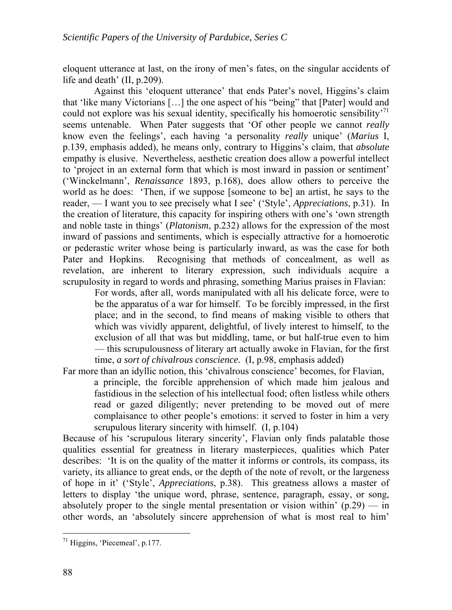eloquent utterance at last, on the irony of men's fates, on the singular accidents of life and death' (II, p.209).

Against this 'eloquent utterance' that ends Pater's novel, Higgins's claim that 'like many Victorians […] the one aspect of his "being" that [Pater] would and could not explore was his sexual identity, specifically his homoerotic sensibility<sup> $71$ </sup> seems untenable. When Pater suggests that 'Of other people we cannot *really* know even the feelings', each having 'a personality *really* unique' (*Marius* I, p.139, emphasis added), he means only, contrary to Higgins's claim, that *absolute* empathy is elusive. Nevertheless, aesthetic creation does allow a powerful intellect to 'project in an external form that which is most inward in passion or sentiment' ('Winckelmann', *Renaissance* 1893, p.168), does allow others to perceive the world as he does: 'Then, if we suppose [someone to be] an artist, he says to the reader, — I want you to see precisely what I see' ('Style', *Appreciations*, p.31). In the creation of literature, this capacity for inspiring others with one's 'own strength and noble taste in things' (*Platonism*, p.232) allows for the expression of the most inward of passions and sentiments, which is especially attractive for a homoerotic or pederastic writer whose being is particularly inward, as was the case for both Pater and Hopkins. Recognising that methods of concealment, as well as revelation, are inherent to literary expression, such individuals acquire a scrupulosity in regard to words and phrasing, something Marius praises in Flavian:

For words, after all, words manipulated with all his delicate force, were to be the apparatus of a war for himself. To be forcibly impressed, in the first place; and in the second, to find means of making visible to others that which was vividly apparent, delightful, of lively interest to himself, to the exclusion of all that was but middling, tame, or but half-true even to him — this scrupulousness of literary art actually awoke in Flavian, for the first time, *a sort of chivalrous conscience.* (I, p.98, emphasis added)

Far more than an idyllic notion, this 'chivalrous conscience' becomes, for Flavian, a principle, the forcible apprehension of which made him jealous and fastidious in the selection of his intellectual food; often listless while others read or gazed diligently; never pretending to be moved out of mere complaisance to other people's emotions: it served to foster in him a very scrupulous literary sincerity with himself. (I, p.104)

Because of his 'scrupulous literary sincerity', Flavian only finds palatable those qualities essential for greatness in literary masterpieces, qualities which Pater describes: 'It is on the quality of the matter it informs or controls, its compass, its variety, its alliance to great ends, or the depth of the note of revolt, or the largeness of hope in it' ('Style', *Appreciations*, p.38).This greatness allows a master of letters to display 'the unique word, phrase, sentence, paragraph, essay, or song, absolutely proper to the single mental presentation or vision within'  $(p.29)$  — in other words, an 'absolutely sincere apprehension of what is most real to him'

<sup>71</sup> Higgins, 'Piecemeal', p.177.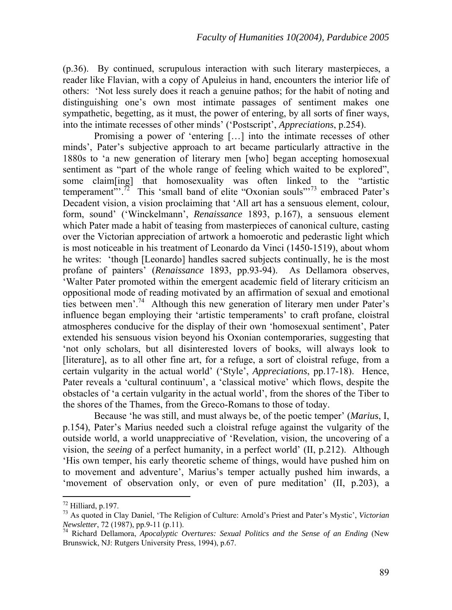(p.36). By continued, scrupulous interaction with such literary masterpieces, a reader like Flavian, with a copy of Apuleius in hand, encounters the interior life of others: 'Not less surely does it reach a genuine pathos; for the habit of noting and distinguishing one's ow[n m](#page-26-0)ost intimate passages of sentiment ma[kes](#page-26-1) one sympathetic, begetting, as it must, the power of entering, by all sorts of finer ways, into the intimate recesses of other minds' ('Postscript', *Appreciations*, p.254).

Promising a power of 'entering […] into the intimate recesses of other minds', Pater's subjective approach to art became particularly attractive in the 1880s to 'a new generation of literary men [who] began accepting homosexual sentiment as "part of the whole range of feeling which waited to be explored", some claim[ing] that homosexuality was often linked to the "artistic temperament"<sup>". 72</sup> This 'small band of elite "Oxonian souls"<sup>"73</sup> embraced Pater's Decadent vision, a vision proclaiming that 'All art has a sensuous element, colour, form, sound' ('Winckelmann[',](#page-26-2) *Renaissance* 1893, p.167), a sensuous element which Pater made a habit of teasing from masterpieces of canonical culture, casting over the Victorian appreciation of artwork a homoerotic and pederastic light which is most noticeable in his treatment of Leonardo da Vinci (1450-1519), about whom he writes: 'though [Leonardo] handles sacred subjects continually, he is the most profane of painters' (*Renaissance* 1893, pp.93-94). As Dellamora observes, 'Walter Pater promoted within the emergent academic field of literary criticism an oppositional mode of reading motivated by an affirmation of sexual and emotional ties between men'. 74 Although this new generation of literary men under Pater's influence began employing their 'artistic temperaments' to craft profane, cloistral atmospheres conducive for the display of their own 'homosexual sentiment', Pater extended his sensuous vision beyond his Oxonian contemporaries, suggesting that 'not only scholars, but all disinterested lovers of books, will always look to [literature], as to all other fine art, for a refuge, a sort of cloistral refuge, from a certain vulgarity in the actual world' ('Style', *Appreciations*, pp.17-18). Hence, Pater reveals a 'cultural continuum', a 'classical motive' which flows, despite the obstacles of 'a certain vulgarity in the actual world', from the shores of the Tiber to the shores of the Thames, from the Greco-Romans to those of today.

Because 'he was still, and must always be, of the poetic temper' (*Marius*, I, p.154), Pater's Marius needed such a cloistral refuge against the vulgarity of the outside world, a world unappreciative of 'Revelation, vision, the uncovering of a vision, the *seeing* of a perfect humanity, in a perfect world' (II, p.212). Although 'His own temper, his early theoretic scheme of things, would have pushed him on to movement and adventure', Marius's temper actually pushed him inwards, a 'movement of observation only, or even of pure meditation' (II, p.203), a

<span id="page-26-1"></span><span id="page-26-0"></span>

<sup>&</sup>lt;sup>72</sup> Hilliard, p.197.<br><sup>73</sup> As quoted in Clay Daniel, 'The Religion of Culture: Arnold's Priest and Pater's Mystic', *Victorian Newsletter*, 72 (1987), pp.9-11 (p.11). 74 Richard Dellamora, *Apocalyptic Overtures: Sexual Politics and the Sense of an Ending* (New

<span id="page-26-2"></span>Brunswick, NJ: Rutgers University Press, 1994), p.67.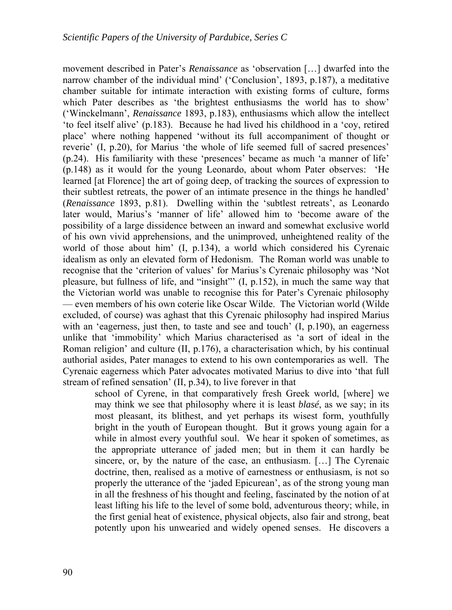movement described in Pater's *Renaissance* as 'observation […] dwarfed into the narrow chamber of the individual mind' ('Conclusion', 1893, p.187), a meditative chamber suitable for intimate interaction with existing forms of culture, forms which Pater describes as 'the brightest enthusiasms the world has to show' ('Winckelmann', *Renaissance* 1893, p.183), enthusiasms which allow the intellect 'to feel itself alive' (p.183). Because he had lived his childhood in a 'coy, retired place' where nothing happened 'without its full accompaniment of thought or reverie' (I, p.20), for Marius 'the whole of life seemed full of sacred presences' (p.24). His familiarity with these 'presences' became as much 'a manner of life' (p.148) as it would for the young Leonardo, about whom Pater observes: 'He learned [at Florence] the art of going deep, of tracking the sources of expression to their subtlest retreats, the power of an intimate presence in the things he handled' (*Renaissance* 1893, p.81). Dwelling within the 'subtlest retreats', as Leonardo later would, Marius's 'manner of life' allowed him to 'become aware of the possibility of a large dissidence between an inward and somewhat exclusive world of his own vivid apprehensions, and the unimproved, unheightened reality of the world of those about him' (I, p.134), a world which considered his Cyrenaic idealism as only an elevated form of Hedonism. The Roman world was unable to recognise that the 'criterion of values' for Marius's Cyrenaic philosophy was 'Not pleasure, but fullness of life, and "insight"' (I, p.152), in much the same way that the Victorian world was unable to recognise this for Pater's Cyrenaic philosophy — even members of his own coterie like Oscar Wilde. The Victorian world (Wilde excluded, of course) was aghast that this Cyrenaic philosophy had inspired Marius with an 'eagerness, just then, to taste and see and touch'  $(I, p.190)$ , an eagerness unlike that 'immobility' which Marius characterised as 'a sort of ideal in the Roman religion' and culture  $(II, p.176)$ , a characterisation which, by his continual authorial asides, Pater manages to extend to his own contemporaries as well. The Cyrenaic eagerness which Pater advocates motivated Marius to dive into 'that full stream of refined sensation' (II, p.34), to live forever in that

school of Cyrene, in that comparatively fresh Greek world, [where] we may think we see that philosophy where it is least *blasé*, as we say; in its most pleasant, its blithest, and yet perhaps its wisest form, youthfully bright in the youth of European thought. But it grows young again for a while in almost every youthful soul. We hear it spoken of sometimes, as the appropriate utterance of jaded men; but in them it can hardly be sincere, or, by the nature of the case, an enthusiasm. […] The Cyrenaic doctrine, then, realised as a motive of earnestness or enthusiasm, is not so properly the utterance of the 'jaded Epicurean', as of the strong young man in all the freshness of his thought and feeling, fascinated by the notion of at least lifting his life to the level of some bold, adventurous theory; while, in the first genial heat of existence, physical objects, also fair and strong, beat potently upon his unwearied and widely opened senses. He discovers a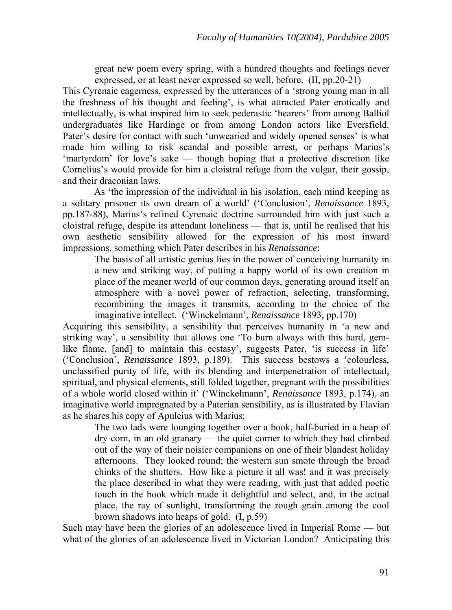great new poem every spring, with a hundred thoughts and feelings never expressed, or at least never expressed so well, before. (II, pp.20-21)

This Cyrenaic eagerness, expressed by the utterances of a 'strong young man in all the freshness of his thought and feeling', is what attracted Pater erotically and intellectually, is what inspired him to seek pederastic 'hearers' from among Balliol undergraduates like Hardinge or from among London actors like Eversfield. Pater's desire for contact with such 'unwearied and widely opened senses' is what made him willing to risk scandal and possible arrest, or perhaps Marius's 'martyrdom' for love's sake — though hoping that a protective discretion like Cornelius's would provide for him a cloistral refuge from the vulgar, their gossip, and their draconian laws.

As 'the impression of the individual in his isolation, each mind keeping as a solitary prisoner its own dream of a world' ('Conclusion', *Renaissance* 1893, pp.187-88), Marius's refined Cyrenaic doctrine surrounded him with just such a cloistral refuge, despite its attendant loneliness — that is, until he realised that his own aesthetic sensibility allowed for the expression of his most inward impressions, something which Pater describes in his *Renaissance*:

The basis of all artistic genius lies in the power of conceiving humanity in a new and striking way, of putting a happy world of its own creation in place of the meaner world of our common days, generating around itself an atmosphere with a novel power of refraction, selecting, transforming, recombining the images it transmits, according to the choice of the imaginative intellect. ('Winckelmann', *Renaissance* 1893, pp.170)

Acquiring this sensibility, a sensibility that perceives humanity in 'a new and striking way', a sensibility that allows one 'To burn always with this hard, gemlike flame, [and] to maintain this ecstasy', suggests Pater, 'is success in life' ('Conclusion', *Renaissance* 1893, p.189). This success bestows a 'colourless, unclassified purity of life, with its blending and interpenetration of intellectual, spiritual, and physical elements, still folded together, pregnant with the possibilities of a whole world closed within it' ('Winckelmann', *Renaissance* 1893, p.174), an imaginative world impregnated by a Paterian sensibility, as is illustrated by Flavian as he shares his copy of Apuleius with Marius:

The two lads were lounging together over a book, half-buried in a heap of dry corn, in an old granary — the quiet corner to which they had climbed out of the way of their noisier companions on one of their blandest holiday afternoons. They looked round; the western sun smote through the broad chinks of the shutters. How like a picture it all was! and it was precisely the place described in what they were reading, with just that added poetic touch in the book which made it delightful and select, and, in the actual place, the ray of sunlight, transforming the rough grain among the cool brown shadows into heaps of gold. (I, p.59)

Such may have been the glories of an adolescence lived in Imperial Rome — but what of the glories of an adolescence lived in Victorian London? Anticipating this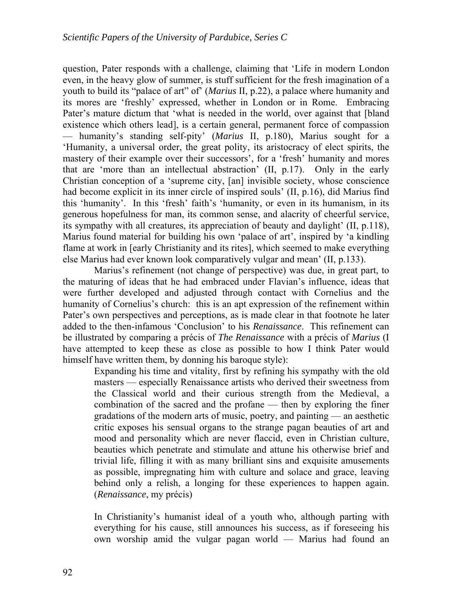question, Pater responds with a challenge, claiming that 'Life in modern London even, in the heavy glow of summer, is stuff sufficient for the fresh imagination of a youth to build its "palace of art" of' (*Marius* II, p.22), a palace where humanity and its mores are 'freshly' expressed, whether in London or in Rome. Embracing Pater's mature dictum that 'what is needed in the world, over against that [bland existence which others lead], is a certain general, permanent force of compassion — humanity's standing self-pity' (*Marius* II, p.180), Marius sought for a 'Humanity, a universal order, the great polity, its aristocracy of elect spirits, the mastery of their example over their successors', for a 'fresh' humanity and mores that are 'more than an intellectual abstraction' (II, p.17). Only in the early Christian conception of a 'supreme city, [an] invisible society, whose conscience had become explicit in its inner circle of inspired souls' (II, p.16), did Marius find this 'humanity'. In this 'fresh' faith's 'humanity, or even in its humanism, in its generous hopefulness for man, its common sense, and alacrity of cheerful service, its sympathy with all creatures, its appreciation of beauty and daylight' (II, p.118), Marius found material for building his own 'palace of art', inspired by 'a kindling flame at work in [early Christianity and its rites], which seemed to make everything else Marius had ever known look comparatively vulgar and mean' (II, p.133).

Marius's refinement (not change of perspective) was due, in great part, to the maturing of ideas that he had embraced under Flavian's influence, ideas that were further developed and adjusted through contact with Cornelius and the humanity of Cornelius's church: this is an apt expression of the refinement within Pater's own perspectives and perceptions, as is made clear in that footnote he later added to the then-infamous 'Conclusion' to his *Renaissance*. This refinement can be illustrated by comparing a précis of *The Renaissance* with a précis of *Marius* (I have attempted to keep these as close as possible to how I think Pater would himself have written them, by donning his baroque style):

Expanding his time and vitality, first by refining his sympathy with the old masters — especially Renaissance artists who derived their sweetness from the Classical world and their curious strength from the Medieval, a combination of the sacred and the profane — then by exploring the finer gradations of the modern arts of music, poetry, and painting — an aesthetic critic exposes his sensual organs to the strange pagan beauties of art and mood and personality which are never flaccid, even in Christian culture, beauties which penetrate and stimulate and attune his otherwise brief and trivial life, filling it with as many brilliant sins and exquisite amusements as possible, impregnating him with culture and solace and grace, leaving behind only a relish, a longing for these experiences to happen again. (*Renaissance*, my précis)

In Christianity's humanist ideal of a youth who, although parting with everything for his cause, still announces his success, as if foreseeing his own worship amid the vulgar pagan world — Marius had found an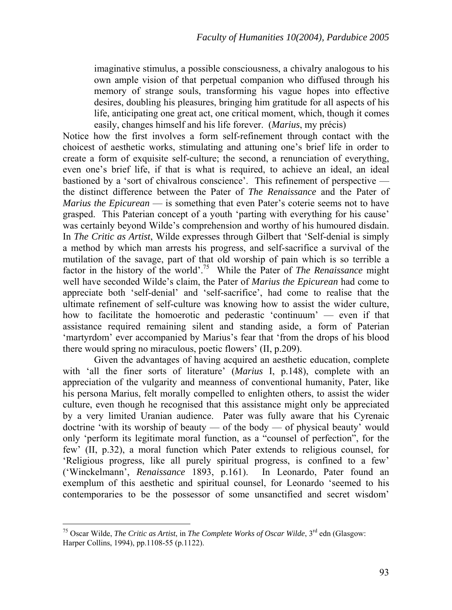imaginative stimulus, a possible consciousness, a chivalry analogous to his own ample vision of that perpetual companion who diffused through his memory of strange souls, transforming his vague hopes into effective desires, doubling his pleasures, bringing him gratitude for all aspects of his life, anticipating one great act, one critical moment, which, though it comes easily, changes himself and his life forever. (*Marius*, my précis)

Notice how the first involves a form self-refinement through contact with the choicest of aesthetic works, stimulating and attuning one's brief life in order to create a form of exquisite self-culture; the second, a renunciation of everything, even one's brief life, if that is what is required, to achieve an ideal, an ideal bastioned by a 'sort of chivalrous conscience'. [T](#page-30-0)his refinement of perspective the distinct difference between the Pater of *The Renaissance* and the Pater of *Marius the Epicurean* — is something that even Pater's coterie seems not to have grasped. This Paterian concept of a youth 'parting with everything for his cause' was certainly beyond Wilde's comprehension and worthy of his humoured disdain. In *The Critic as Artist*, Wilde expresses through Gilbert that 'Self-denial is simply a method by which man arrests his progress, and self-sacrifice a survival of the mutilation of the savage, part of that old worship of pain which is so terrible a factor in the history of the world'.75 While the Pater of *The Renaissance* might well have seconded Wilde's claim, the Pater of *Marius the Epicurean* had come to appreciate both 'self-denial' and 'self-sacrifice', had come to realise that the ultimate refinement of self-culture was knowing how to assist the wider culture, how to facilitate the homoerotic and pederastic 'continuum' — even if that assistance required remaining silent and standing aside, a form of Paterian 'martyrdom' ever accompanied by Marius's fear that 'from the drops of his blood there would spring no miraculous, poetic flowers' (II, p.209).

Given the advantages of having acquired an aesthetic education, complete with 'all the finer sorts of literature' (*Marius* I, p.148), complete with an appreciation of the vulgarity and meanness of conventional humanity, Pater, like his persona Marius, felt morally compelled to enlighten others, to assist the wider culture, even though he recognised that this assistance might only be appreciated by a very limited Uranian audience. Pater was fully aware that his Cyrenaic doctrine 'with its worship of beauty — of the body — of physical beauty' would only 'perform its legitimate moral function, as a "counsel of perfection", for the few' (II, p.32), a moral function which Pater extends to religious counsel, for 'Religious progress, like all purely spiritual progress, is confined to a few' ('Winckelmann', *Renaissance* 1893, p.161). In Leonardo, Pater found an exemplum of this aesthetic and spiritual counsel, for Leonardo 'seemed to his contemporaries to be the possessor of some unsanctified and secret wisdom'

<span id="page-30-0"></span><sup>75</sup> Oscar Wilde, *The Critic as Artist*, in *The Complete Works of Oscar Wilde*, 3rd edn (Glasgow: Harper Collins, 1994), pp.1108-55 (p.1122).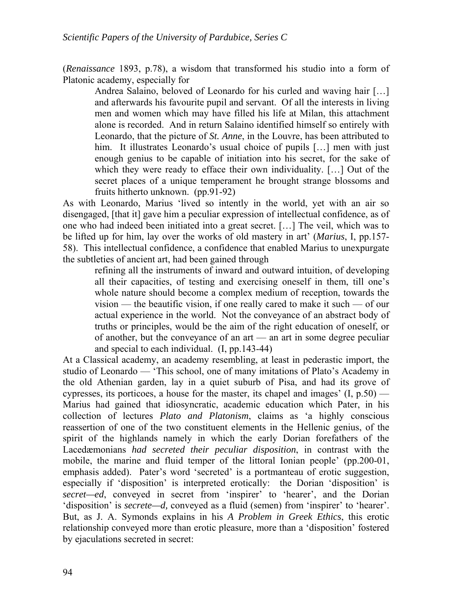(*Renaissance* 1893, p.78), a wisdom that transformed his studio into a form of Platonic academy, especially for

Andrea Salaino, beloved of Leonardo for his curled and waving hair […] and afterwards his favourite pupil and servant. Of all the interests in living men and women which may have filled his life at Milan, this attachment alone is recorded. And in return Salaino identified himself so entirely with Leonardo, that the picture of *St. Anne*, in the Louvre, has been attributed to him. It illustrates Leonardo's usual choice of pupils [...] men with just enough genius to be capable of initiation into his secret, for the sake of which they were ready to efface their own individuality. […] Out of the secret places of a unique temperament he brought strange blossoms and fruits hitherto unknown. (pp.91-92)

As with Leonardo, Marius 'lived so intently in the world, yet with an air so disengaged, [that it] gave him a peculiar expression of intellectual confidence, as of one who had indeed been initiated into a great secret. […] The veil, which was to be lifted up for him, lay over the works of old mastery in art' (*Marius*, I, pp.157- 58). This intellectual confidence, a confidence that enabled Marius to unexpurgate the subtleties of ancient art, had been gained through

refining all the instruments of inward and outward intuition, of developing all their capacities, of testing and exercising oneself in them, till one's whole nature should become a complex medium of reception, towards the vision — the beautific vision, if one really cared to make it such — of our actual experience in the world. Not the conveyance of an abstract body of truths or principles, would be the aim of the right education of oneself, or of another, but the conveyance of an art — an art in some degree peculiar and special to each individual. (I, pp.143-44)

At a Classical academy, an academy resembling, at least in pederastic import, the studio of Leonardo — 'This school, one of many imitations of Plato's Academy in the old Athenian garden, lay in a quiet suburb of Pisa, and had its grove of cypresses, its porticoes, a house for the master, its chapel and images'  $(I, p.50)$  — Marius had gained that idiosyncratic, academic education which Pater, in his collection of lectures *Plato and Platonism*, claims as 'a highly conscious reassertion of one of the two constituent elements in the Hellenic genius, of the spirit of the highlands namely in which the early Dorian forefathers of the Lacedæmonians *had secreted their peculiar disposition*, in contrast with the mobile, the marine and fluid temper of the littoral Ionian people' (pp.200-01, emphasis added). Pater's word 'secreted' is a portmanteau of erotic suggestion, especially if 'disposition' is interpreted erotically: the Dorian 'disposition' is *secret—ed*, conveyed in secret from 'inspirer' to 'hearer', and the Dorian 'disposition' is *secrete—d,* conveyed as a fluid (semen) from 'inspirer' to 'hearer'. But, as J. A. Symonds explains in his *A Problem in Greek Ethics*, this erotic relationship conveyed more than erotic pleasure, more than a 'disposition' fostered by ejaculations secreted in secret: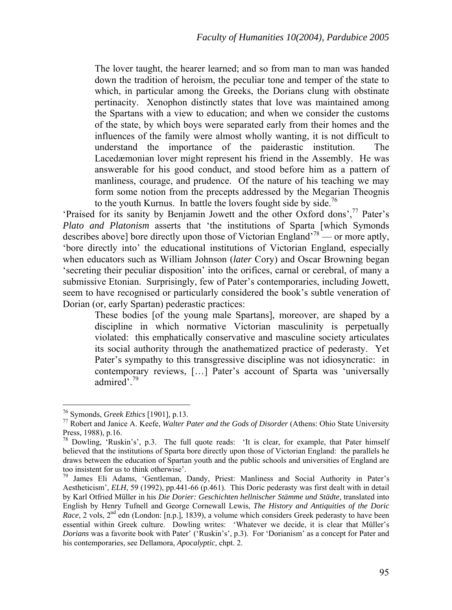The lover taught, the hearer learned; and so from man to man was handed down the tradition of heroism, the peculiar tone and temper of the state to which, in particular among the Greeks, the Dorians clung with obstinate pertinacity. Xenophon distinctly states that love was maintained among the Spartans with a view to education; and when we consider the cust[om](#page-32-0)s of the state, by which boys were separated early from their homes and the influences of the family were almost wholly wanting, it is not difficult to understand the importance of the paiderastic institution. The Lacedæmonian lover might represent his friend in the Assembly. He was answerable for his good conduct, and stood before him as a pattern of manliness, courage, and prudence. Of the nature of his teaching we may form some notion from the precepts addressed by the Megarian Theognis to the youth Kurnus. In battle the lovers fought side by side.<sup>76</sup>

'Praised for its sanity by Benjamin Jowett and the other Oxford dons',77 Pater's *Plato and Platonism* asserts that 'the institutions of Sparta [which Symonds describes above] bore directly upon those of Victorian England<sup>78</sup> — or more aptly, 'bore directly into' the educational institutions of Victorian England, especially when educators such as William Johnson (*later* Cory) and Oscar Browning began 'secreting their peculiar disposition' into the orifices, carnal or cerebral, of many a submissive Etonian. Surprisingly, few of Pater's contemporaries, including Jowett, seem to have recognised or [part](#page-32-2)icularly considered the book's subtle veneration of Dorian (or, early Spartan) pederastic practices:

These bodies [of the young male Spartans], moreover, are shaped by a discipline in which normative Victorian masculinity is perpetually violated: this emphatically conservative and masculine society articulates its social authority through the anathematized practice of pederasty. Yet Pater's sympathy to this transgressive discipline was not idiosyncratic: in contemporary reviews, […] Pater's account of Sparta was 'universally admired'. 79

<span id="page-32-0"></span> $^{76}$  Symonds, *Greek Ethics* [1901], p.13.

<sup>&</sup>lt;sup>77</sup> Robert and Janice A. Keefe, *Walter Pater and the Gods of Disorder* (Athens: Ohio State University Press, 1988), p.16.<br><sup>78</sup> Dowling, 'Ruskin's', p.3. The full quote reads: 'It is clear, for example, that Pater himself

<span id="page-32-1"></span>believed that the institutions of Sparta bore directly upon those of Victorian England: the parallels he draws between the education of Spartan youth and the public schools and universities of England are too insistent for us to think otherwise'.<br><sup>79</sup> James Eli Adams, 'Gentleman, Dandy, Priest: Manliness and Social Authority in Pater's

<span id="page-32-2"></span>Aestheticism', *ELH*, 59 (1992), pp.441-66 (p.461). This Doric pederasty was first dealt with in detail by Karl Otfried Müller in his *Die Dorier: Geschichten hellnischer Stämme und Städte*, translated into English by Henry Tufnell and George Cornewall Lewis, *The History and Antiquities of the Doric Race*, 2 vols, 2<sup>nd</sup> edn (London: [n.p.], 1839), a volume which considers Greek pederasty to have been essential within Greek culture. Dowling writes: 'Whatever we decide, it is clear that Müller's *Dorians* was a favorite book with Pater' ('Ruskin's', p.3). For 'Dorianism' as a concept for Pater and his contemporaries, see Dellamora, *Apocalyptic*, chpt. 2.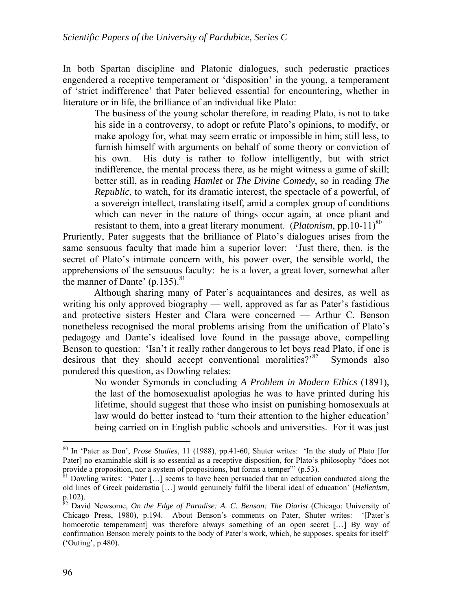In both Spartan discipline and Platonic dialogues, such pederastic practices engendered a receptive temperament or 'disposition' in the young, a temperament of 'strict indifference' that Pater believed essential for encountering, whether in literature or in life, the brilliance of an individual like Plato:

The business of the young scholar therefore, in reading Plato, is not to take his side in a controversy, to adopt or refute Plato's opinions, to modify, or make apology for, what may seem erratic or impossible in him; still less, to furnish himself with arguments on behalf of some theory or conviction of his own. His duty is rather to follow intelligently, but with strict indifference, the mental process there, as he might witness a game of skill; better still, as in reading *Hamlet* or *The Divine Comedy*, so in reading *The Republic*, to watch, for its drama[tic](#page-33-0) interest, the spectacle of a powerful, of a sovereign intellect, translating itself, amid a complex group of conditions which can never in the nature of things occur again, at once pliant and resistant to them, into a great literary monument. (*Platonism*, pp.10-11)<sup>80</sup>

Pruriently, Pater suggests that the brilliance of Plato's dialogues arises from the same sensuous faculty that made him a superior lover: 'Just there, then, is the secret of Plato's intimate concern with, his power over, the sensible world, the apprehensions of the sensuous faculty: he is a lover, a great lover, somew[hat](#page-33-1) after the manner of Dante'  $(p.135)$ .<sup>81</sup>

Although sharing many of Pater's acquaintances and desires, as well as writing his only approved biography — well, approved as far as Pater's fastidious and protective sisters Hester and Clara were concerned — Arthur C. Benson nonetheless recognised the moral problems arising from the unification of Plato's pedagogy and Dante's idealised love found in the passage above, compelling Benson to question: 'Isn't it really rather dangerous to let boys read Plato, if one is desirous that they should accept conventional moralities?<sup>82</sup> Symonds also pondered this question, as Dowling relates:

No wonder Symonds in concluding *A Problem in Modern Ethics* (1891), the last of the homosexualist apologias he was to have printed during his lifetime, should suggest that those who insist on punishing homosexuals at law would do better instead to 'turn their attention to the higher education' being carried on in English public schools and universities. For it was just

<sup>80</sup> In 'Pater as Don', *Prose Studies*, 11 (1988), pp.41-60, Shuter writes: 'In the study of Plato [for Pater] no examinable skill is so essential as a receptive disposition, for Plato's philosophy "does not provide a proposition, nor a system of propositions, but forms a temper"' (p.53).<br><sup>81</sup> Dowling writes: 'Pater [...] seems to have been persuaded that an education conducted along the

<span id="page-33-0"></span>old lines of Greek paiderastia […] would genuinely fulfil the liberal ideal of education' (*Hellenism*, p.102).

<span id="page-33-1"></span><sup>82</sup> David Newsome, *On the Edge of Paradise: A. C. Benson: The Diarist* (Chicago: University of Chicago Press, 1980), p.194. About Benson's comments on Pater, Shuter writes: '[Pater's homoerotic temperament] was therefore always something of an open secret [...] By way of confirmation Benson merely points to the body of Pater's work, which, he supposes, speaks for itself' ('Outing', p.480).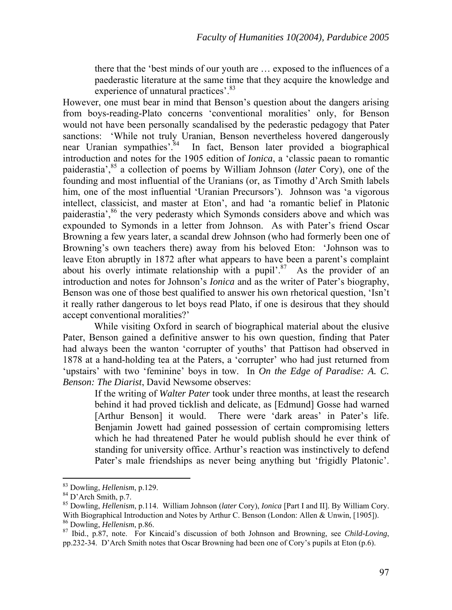there that the 'best minds of our youth are … exposed to the influences of a paederastic lite[ratu](#page-34-0)re at the same time that they acquire the knowledge and experience of unnatural practices'.<sup>83</sup>

However, one must bear in mind that Benson's question about the dangers arising from boys-reading-Plato concerns 'conventional moralities' only, for Benson would not have been p[ers](#page-34-1)onally scandalised by the pederastic pedagogy that Pater sanctions: 'While not truly Uranian, Benson nevertheless hovered dangerously near Uranian sympathies<sup>'.84</sup> In fact, Benson later provided a biographical introduction and notes for the 1905 edition of *Ionica*, a 'classic paean to romantic paiderastia',85 a collection of poems by William Johnson (*later* Cory), one of the founding and most influential of the Uranians (or, as Timothy d'A[rch](#page-34-2) Smith labels him, one of the most influential 'Uranian Precursors'). Johnson was 'a vigorous intellect, classicist, and master at Eton', and had 'a romantic belief in Platonic paiderastia',<sup>86</sup> the very pederasty which Symonds considers above and which was expounded to Symonds in a letter from Johnson. As with Pater's friend Oscar Browning a few years later, a scandal drew Johnson (who had formerly been one of Browning's own teachers there) away from his beloved Eton: 'Johnson was to leave Eton abruptly in 1872 after what appears to have been a parent's complaint about his overly intimate relationship with a pupil'. $87$  As the provider of an introduction and notes for Johnson's *Ionica* and as the writer of Pater's biography, Benson was one of those best qualified to answer his own rhetorical question, 'Isn't it really rather dangerous to let boys read Plato, if one is desirous that they should accept conventional moralities?'

While visiting Oxford in search of biographical material about the elusive Pater, Benson gained a definitive answer to his own question, finding that Pater had always been the wanton 'corrupter of youths' that Pattison had observed in 1878 at a hand-holding tea at the Paters, a 'corrupter' who had just returned from 'upstairs' with two 'feminine' boys in tow. In *On the Edge of Paradise: A. C. Benson: The Diarist*, David Newsome observes:

If the writing of *Walter Pater* took under three months, at least the research behind it had proved ticklish and delicate, as [Edmund] Gosse had warned [Arthur Benson] it would. There were 'dark areas' in Pater's life. Benjamin Jowett had gained possession of certain compromising letters which he had threatened Pater he would publish should he ever think of standing for university office. Arthur's reaction was instinctively to defend Pater's male friendships as never being anything but 'frigidly Platonic'.

<span id="page-34-0"></span>

<sup>&</sup>lt;sup>83</sup> Dowling, *Hellenism*, p.129.<br><sup>84</sup> D'Arch Smith, p.7.<br><sup>85</sup> Dowling, *Hellenism*, p.114. William Johnson (*later* Cory), *Ionica* [Part I and II]. By William Cory. With Biographical Introduction and Notes by Arthur C. Benson (London: Allen & Unwin, [1905]).<br><sup>86</sup> Dowling, *Hellenism*, p.86.<br><sup>87</sup> Ibid., p.87, note. For Kincaid's discussion of both Johnson and Browning, see *Child-Lovin* 

<span id="page-34-2"></span><span id="page-34-1"></span>pp.232-34. D'Arch Smith notes that Oscar Browning had been one of Cory's pupils at Eton (p.6).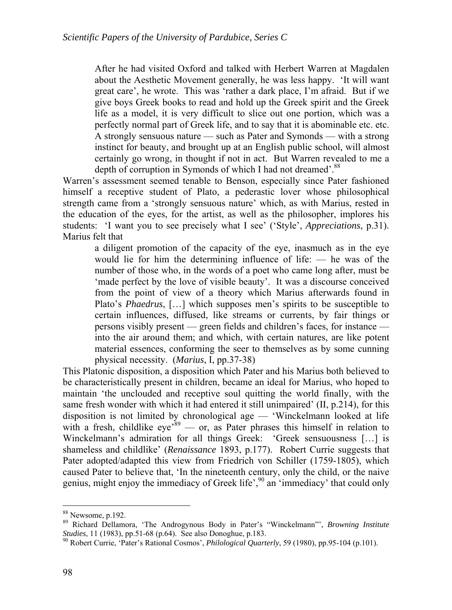After he had visited Oxford and talked with Herbert Warren at Magdalen about the Aesthetic Movement generally, he was less happy. 'It will w[ant](#page-35-0) great care', he wrote. This was 'rather a dark place, I'm afraid. But if we give boys Greek books to read and hold up the Greek spirit and the Greek life as a model, it is very difficult to slice out one portion, which was a perfectly normal part of Greek life, and to say that it is abominable etc. etc. A strongly sensuous nature — such as Pater and Symonds — with a strong instinct for beauty, and brought up at an English public school, will almost certainly go wrong, in thought if not in act. But Warren revealed to me a depth of corruption in Symonds of which I had not dreamed'.<sup>88</sup>

Warren's assessment seemed tenable to Benson, especially since Pater fashioned himself a receptive student of Plato, a pederastic lover whose philosophical strength came from a 'strongly sensuous nature' which, as with Marius, rested in the education of the eyes, for the artist, as well as the philosopher, implores his students: 'I want you to see precisely what I see' ('Style', *Appreciations*, p.31). Marius felt that

a diligent promotion of the capacity of the eye, inasmuch as in the eye would lie for him the determining influence of life: — he was of the number of those who, in the words of a poet who came long after, must be 'made perfect by the love of visible beauty'. It was a discourse conceived from the point of view of a theory which Marius afterwards found in Plato's *Phaedrus*, […] which supposes men's spirits to be susceptible to certain influences, diffused, like streams or currents, by fair things or persons visibly present — green fields and children's faces, for instance into the air around them; and [whi](#page-35-1)ch, with certain natures, are like potent material essences, conforming the seer to themselves as by some cunning physical necessity. (*Marius*, I, pp.37-38)

This Platonic disposition, a disposition which Pater and his Marius both believed to be characteristically present in children, became an ideal for Marius, who hoped to maintain 'the unclouded and receptive soul quitting the w[orl](#page-35-2)d finally, with the same fresh wonder with which it had entered it still unimpaired' (II, p.214), for this disposition is not limited by chronological age — 'Winckelmann looked at life with a fresh, childlike eye<sup>59</sup> — or, as Pater phrases this himself in relation to Winckelmann's admiration for all things Greek: 'Greek sensuousness […] is shameless and childlike' (*Renaissance* 1893, p.177). Robert Currie suggests that Pater adopted/adapted this view from Friedrich von Schiller (1759-1805), which caused Pater to believe that, 'In the nineteenth century, only the child, or the naive genius, might enjoy the immediacy of Greek life',  $90$  an 'immediacy' that could only

<span id="page-35-1"></span><span id="page-35-0"></span>

<sup>&</sup>lt;sup>88</sup> Newsome, p.192.<br><sup>89</sup> Richard Dellamora, 'The Androgynous Body in Pater's "Winckelmann"', *Browning Institute*<br>*Studies*, 11 (1983), pp.51-68 (p.64). See also Donoghue, p.183.

<span id="page-35-2"></span><sup>&</sup>lt;sup>90</sup> Robert Currie, 'Pater's Rational Cosmos', *Philological Quarterly*, 59 (1980), pp.95-104 (p.101).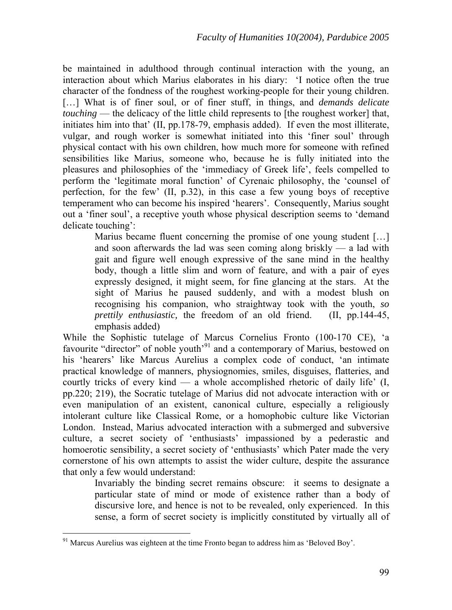be maintained in adulthood through continual interaction with the young, an interaction about which Marius elaborates in his diary: 'I notice often the true character of the fondness of the roughest working-people for their young children. [...] What is of finer soul, or of finer stuff, in things, and *demands delicate touching* — the delicacy of the little child represents to [the roughest worker] that, initiates him into that' (II, pp.178-79, emphasis added). If even the most illiterate, vulgar, and rough worker is somewhat initiated into this 'finer soul' through physical contact with his own children, how much more for someone with refined sensibilities like Marius, someone who, because he is fully initiated into the pleasures and philosophies of the 'immediacy of Greek life', feels compelled to perform the 'legitimate moral function' of Cyrenaic philosophy, the 'counsel of perfection, for the few' (II, p.32), in this case a few young boys of receptive temperament who can become his inspired 'hearers'. Consequently, Marius sought out a 'finer soul', a receptive youth whose physical description seems to 'demand delicate touching':

Marius became fluent concerning the promise of one young student [...] and soon afterwards the lad was seen coming along briskly — a lad with gait and figure well enough expressi[ve o](#page-36-0)f the sane mind in the healthy body, though a little slim and worn of feature, and with a pair of eyes expressly designed, it might seem, for fine glancing at the stars. At the sight of Marius he paused suddenly, and with a modest blush on recognising his companion, who straightway took with the youth, *so prettily enthusiastic,* the freedom of an old friend. (II, pp.144-45, emphasis added)

While the Sophistic tutelage of Marcus Cornelius Fronto (100-170 CE), 'a favourite "director" of noble youth<sup>,91</sup> and a contemporary of Marius, bestowed on his 'hearers' like Marcus Aurelius a complex code of conduct, 'an intimate practical knowledge of manners, physiognomies, smiles, disguises, flatteries, and courtly tricks of every kind — a whole accomplished rhetoric of daily life' (I, pp.220; 219), the Socratic tutelage of Marius did not advocate interaction with or even manipulation of an existent, canonical culture, especially a religiously intolerant culture like Classical Rome, or a homophobic culture like Victorian London. Instead, Marius advocated interaction with a submerged and subversive culture, a secret society of 'enthusiasts' impassioned by a pederastic and homoerotic sensibility, a secret society of 'enthusiasts' which Pater made the very cornerstone of his own attempts to assist the wider culture, despite the assurance that only a few would understand:

Invariably the binding secret remains obscure: it seems to designate a particular state of mind or mode of existence rather than a body of discursive lore, and hence is not to be revealed, only experienced. In this sense, a form of secret society is implicitly constituted by virtually all of

<span id="page-36-0"></span><sup>&</sup>lt;sup>91</sup> Marcus Aurelius was eighteen at the time Fronto began to address him as 'Beloved Boy'.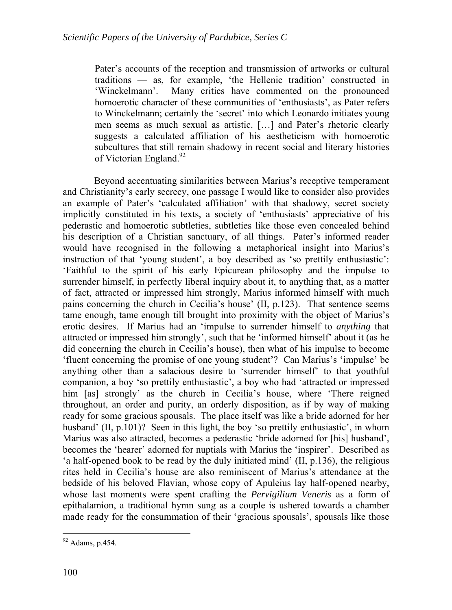Pater's accounts of the receptio[n an](#page-37-0)d transmission of artworks or cultural traditions — as, for example, 'the Hellenic tradition' constructed in 'Winckelmann'. Many critics have commented on the pronounced homoerotic character of these communities of 'enthusiasts', as Pater refers to Winckelmann; certainly the 'secret' into which Leonardo initiates young men seems as much sexual as artistic. […] and Pater's rhetoric clearly suggests a calculated affiliation of his aestheticism with homoerotic subcultures that still remain shadowy in recent social and literary histories of Victorian England. $92$ 

Beyond accentuating similarities between Marius's receptive temperament and Christianity's early secrecy, one passage I would like to consider also provides an example of Pater's 'calculated affiliation' with that shadowy, secret society implicitly constituted in his texts, a society of 'enthusiasts' appreciative of his pederastic and homoerotic subtleties, subtleties like those even concealed behind his description of a Christian sanctuary, of all things. Pater's informed reader would have recognised in the following a metaphorical insight into Marius's instruction of that 'young student', a boy described as 'so prettily enthusiastic': 'Faithful to the spirit of his early Epicurean philosophy and the impulse to surrender himself, in perfectly liberal inquiry about it, to anything that, as a matter of fact, attracted or impressed him strongly, Marius informed himself with much pains concerning the church in Cecilia's house' (II, p.123). That sentence seems tame enough, tame enough till brought into proximity with the object of Marius's erotic desires. If Marius had an 'impulse to surrender himself to *anything* that attracted or impressed him strongly', such that he 'informed himself' about it (as he did concerning the church in Cecilia's house), then what of his impulse to become 'fluent concerning the promise of one young student'? Can Marius's 'impulse' be anything other than a salacious desire to 'surrender himself' to that youthful companion, a boy 'so prettily enthusiastic', a boy who had 'attracted or impressed him [as] strongly' as the church in Cecilia's house, where 'There reigned throughout, an order and purity, an orderly disposition, as if by way of making ready for some gracious spousals. The place itself was like a bride adorned for her husband' (II, p.101)? Seen in this light, the boy 'so prettily enthusiastic', in whom Marius was also attracted, becomes a pederastic 'bride adorned for [his] husband', becomes the 'hearer' adorned for nuptials with Marius the 'inspirer'. Described as 'a half-opened book to be read by the duly initiated mind' (II, p.136), the religious rites held in Cecilia's house are also reminiscent of Marius's attendance at the bedside of his beloved Flavian, whose copy of Apuleius lay half-opened nearby, whose last moments were spent crafting the *Pervigilium Veneris* as a form of epithalamion, a traditional hymn sung as a couple is ushered towards a chamber made ready for the consummation of their 'gracious spousals', spousals like those

<span id="page-37-0"></span> $\overline{a}$  $92$  Adams, p.454.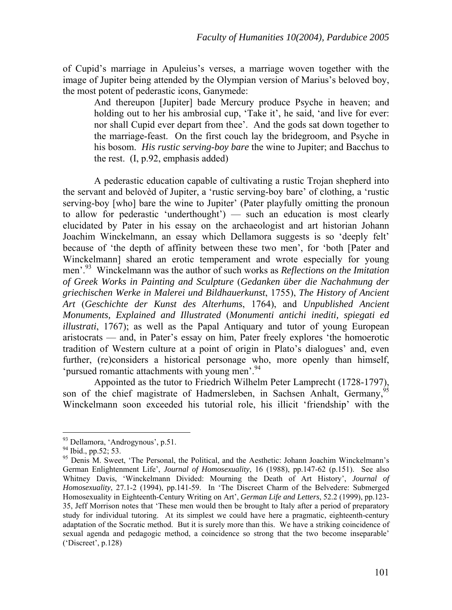of Cupid's marriage in Apuleius's verses, a marriage woven together with the image of Jupiter being attended by the Olympian version of Marius's beloved boy, the most potent of pederastic icons, Ganymede:

And thereupon [Jupiter] bade Mercury produce Psyche in heaven; and holding out to her his ambrosial cup, 'Take it', he said, 'and live for ever: nor shall Cupid ever depart from thee'. And the gods sat down together to the marriage-feast. On the first couch lay the bridegroom, and Psyche in his bosom. *His rustic serving-boy bare* the wine to Jupiter; and Bacchus to the rest. (I, p.92, emphasis added)

A pedera[sti](#page-38-0)c education capable of cultivating a rustic Trojan shepherd into the servant and belovèd of Jupiter, a 'rustic serving-boy bare' of clothing, a 'rustic serving-boy [who] bare the wine to Jupiter' (Pater playfully omitting the pronoun to allow for pederastic 'underthought') — such an education is most clearly elucidated by Pater in his essay on the archaeologist and art historian Johann Joachim Winckelmann, an essay which Dellamora suggests is so 'deeply felt' because of 'the depth of affinity between these two men', for 'both [Pater and Winckelmann] shared an erotic temperament and wrote especially for young men'. 93 Winckelmann was the author of such works as *Reflections on the Imitation of Greek Works in Painting and Sculpture* (*Gedanken übe[r d](#page-38-1)ie Nachahmung der griechischen Werke in Malerei und Bildhauerkunst*, 1755), *The History of Ancient Art* (*Geschichte der Kunst des Alterhums*, 1764), and *Unpublished Ancient Monuments, Explained and Illustrated* (*Monumenti antichi inediti, spiegati ed illustrati*, 1767); as well as the Papal Antiquary and tutor of young European aristocrats — and, in Pater's essay on him, Pater freely explores 'the homoerotic tradition of Western culture at a point of origin in Plato's dialogues' and, even further, (re)considers a historical personage who, more openly than himself, 'pursued romantic attachments with young men'.<sup>94</sup>

Appointed as the tutor to Friedrich Wilhelm Peter Lamprecht (1728-1797), son of the chief magistrate of Hadmersleben, in Sachsen Anhalt, Germany,<sup>95</sup> Winckelmann soon exceeded his tutorial role, his illicit 'friendship' with the

<span id="page-38-0"></span> $^{93}_{94}$  Dellamora, 'Androgynous', p.51.<br><sup>94</sup> Ibid., pp.52; 53.

<span id="page-38-1"></span>

<sup>&</sup>lt;sup>95</sup> Denis M. Sweet, 'The Personal, the Political, and the Aesthetic: Johann Joachim Winckelmann's German Enlightenment Life', *Journal of Homosexuality*, 16 (1988), pp.147-62 (p.151). See also Whitney Davis, 'Winckelmann Divided: Mourning the Death of Art History', *Journal of Homosexuality*, 27.1-2 (1994), pp.141-59. In 'The Discreet Charm of the Belvedere: Submerged Homosexuality in Eighteenth-Century Writing on Art', *German Life and Letters*, 52.2 (1999), pp.123- 35, Jeff Morrison notes that 'These men would then be brought to Italy after a period of preparatory study for individual tutoring. At its simplest we could have here a pragmatic, eighteenth-century adaptation of the Socratic method. But it is surely more than this. We have a striking coincidence of sexual agenda and pedagogic method, a coincidence so strong that the two become inseparable' ('Discreet', p.128)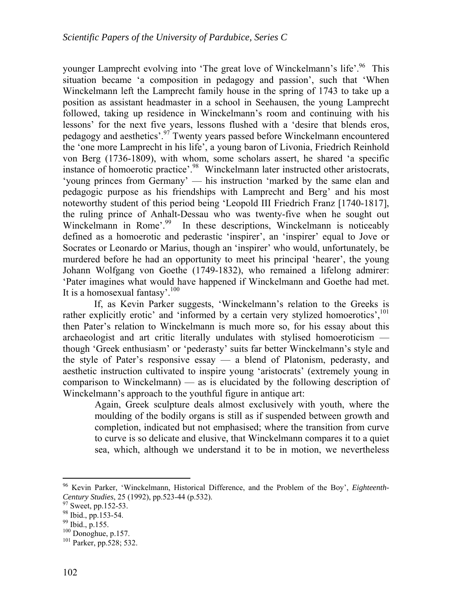younger Lamprecht evolving into 'The great love of Winckelmann's life'.<sup>96</sup> This situation became 'a composition in peda[gog](#page-39-1)y and passion', such that 'When Winckelmann left the Lamprecht family house in the spring of 1743 to take up a position as assistant headmaster in a school in Seehausen, the young Lamprecht followed, taking up residence in Winckelmann's room and continuing with his lessons' for the next five years, lessons flushed with a 'desire that blends eros, pedagogy and aesthetics'.<sup>97</sup> Twenty y[ear](#page-39-2)s passed before Winckelmann encountered the 'one more Lamprecht in his life', a young baron of Livonia, Friedrich Reinhold von Berg (1736-1809), with whom, some scholars assert, he shared 'a specific instance of homoerotic practice'. 98 Winckelmann later instructed other aristocrats, 'young princes from Germany' — his instruction 'marked by the same elan and pedagogic purpose as his friendships with Lamprecht and Berg' and his most noteworthy student of this period bein[g 'L](#page-39-3)eopold III Friedrich Franz [1740-1817], the ruling prince of Anhalt-Dessau who was twenty-five when he sought out Winckelmann in Rome'.<sup>99</sup> In these descriptions, Winckelmann is noticeably defined as a homoerotic and pederastic 'inspirer', an 'inspirer' equal to Jove or Socrates or Leonardo or Marius, though an 'inspirer' who would, unfortunately, be murdered before he had an opportunity to meet his principal 'hearer', the young Johann Wolfgang von Goethe (1749-1832), who remained a lifelong admirer: 'Pater imagines what would have happened if Winckelmann and Goethe had met. It is a homosexual fantasy'.<sup>100</sup>

If, as Kevin Parker suggests, 'Winckelmann's relation to the Greeks is rather explicitly erotic' and 'informed by a certain very stylized homoerotics',<sup>101</sup> then Pater's relation to Winckelmann is much more so, for his essay about this archaeologist and art critic literally undulates with stylised homoeroticism though 'Greek enthusiasm' or 'pederasty' suits far better Winckelmann's style and the style of Pater's responsive essay — a blend of Platonism, pederasty, and aesthetic instruction cultivated to inspire young 'aristocrats' (extremely young in comparison to Winckelmann) — as is elucidated by the following description of Winckelmann's approach to the youthful figure in antique art:

Again, Greek sculpture deals almost exclusively with youth, where the moulding of the bodily organs is still as if suspended between growth and completion, indicated but not emphasised; where the transition from curve to curve is so delicate and elusive, that Winckelmann compares it to a quiet sea, which, although we understand it to be in motion, we nevertheless

<sup>96</sup> Kevin Parker, 'Winckelmann, Historical Difference, and the Problem of the Boy', *Eighteenth-Century Studies*, 25 (1992), pp.523-44 (p.532).<br>
<sup>97</sup> Sweet, pp.152-53.<br>
<sup>98</sup> Ibid., pp.153-54.<br>
<sup>99</sup> Ibid., p.155.<br>
<sup>100</sup> Donoghue, p.157.<br>
<sup>101</sup> Parker, pp.528; 532.

<span id="page-39-0"></span>

<span id="page-39-1"></span>

<span id="page-39-2"></span>

<span id="page-39-3"></span>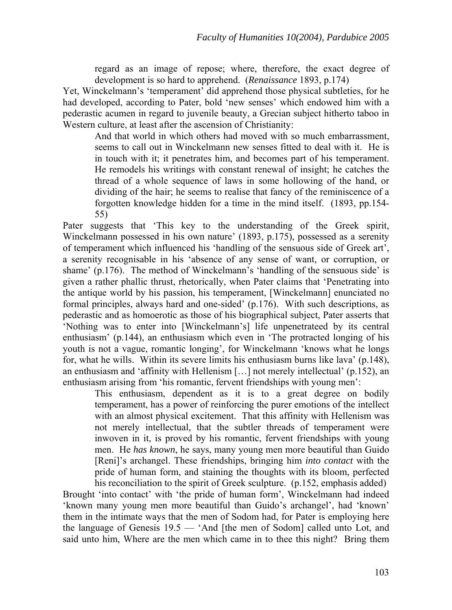regard as an image of repose; where, therefore, the exact degree of development is so hard to apprehend. (*Renaissance* 1893, p.174)

Yet, Winckelmann's 'temperament' did apprehend those physical subtleties, for he had developed, according to Pater, bold 'new senses' which endowed him with a pederastic acumen in regard to juvenile beauty, a Grecian subject hitherto taboo in Western culture, at least after the ascension of Christianity:

And that world in which others had moved with so much embarrassment, seems to call out in Winckelmann new senses fitted to deal with it. He is in touch with it; it penetrates him, and becomes part of his temperament. He remodels his writings with constant renewal of insight; he catches the thread of a whole sequence of laws in some hollowing of the hand, or dividing of the hair; he seems to realise that fancy of the reminiscence of a forgotten knowledge hidden for a time in the mind itself. (1893, pp.154- 55)

Pater suggests that 'This key to the understanding of the Greek spirit, Winckelmann possessed in his own nature' (1893, p.175), possessed as a serenity of temperament which influenced his 'handling of the sensuous side of Greek art', a serenity recognisable in his 'absence of any sense of want, or corruption, or shame' (p.176). The method of Winckelmann's 'handling of the sensuous side' is given a rather phallic thrust, rhetorically, when Pater claims that 'Penetrating into the antique world by his passion, his temperament, [Winckelmann] enunciated no formal principles, always hard and one-sided' (p.176). With such descriptions, as pederastic and as homoerotic as those of his biographical subject, Pater asserts that 'Nothing was to enter into [Winckelmann's] life unpenetrateed by its central enthusiasm' (p.144), an enthusiasm which even in 'The protracted longing of his youth is not a vague, romantic longing', for Winckelmann 'knows what he longs for, what he wills. Within its severe limits his enthusiasm burns like lava' (p.148), an enthusiasm and 'affinity with Hellenism […] not merely intellectual' (p.152), an enthusiasm arising from 'his romantic, fervent friendships with young men':

This enthusiasm, dependent as it is to a great degree on bodily temperament, has a power of reinforcing the purer emotions of the intellect with an almost physical excitement. That this affinity with Hellenism was not merely intellectual, that the subtler threads of temperament were inwoven in it, is proved by his romantic, fervent friendships with young men. He *has known*, he says, many young men more beautiful than Guido [Reni]'s archangel. These friendships, bringing him *into contact* with the pride of human form, and staining the thoughts with its bloom, perfected

his reconciliation to the spirit of Greek sculpture. (p.152, emphasis added) Brought 'into contact' with 'the pride of human form', Winckelmann had indeed 'known many young men more beautiful than Guido's archangel', had 'known' them in the intimate ways that the men of Sodom had, for Pater is employing here the language of Genesis 19.5 — 'And [the men of Sodom] called unto Lot, and said unto him, Where are the men which came in to thee this night? Bring them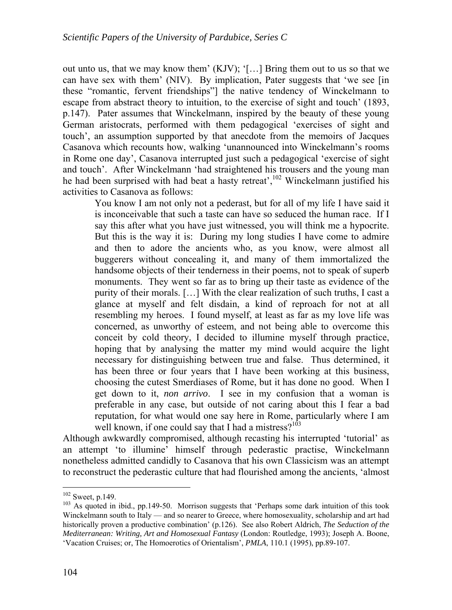out unto us, that we may know them' (KJV); '[…] Bring them out to us so that we can have sex with them' (NIV). By implication, Pater suggests that 'we see [in these "romantic, fervent friendships"] the native tendency of [W](#page-41-0)inckelmann to escape from abstract theory to intuition, to the exercise of sight and touch' (1893, p.147). Pater assumes that Winckelmann, inspired by the beauty of these young German aristocrats, performed with them pedagogical 'exercises of sight and touch', an assumption supported by that anecdote from the memoirs of Jacques Casanova which recounts how, walking 'unannounced into Winckelmann's rooms in Rome one day', Casanova interrupted just such a pedagogical 'exercise of sight and touch'. After Winckelmann 'had straightened his trousers and the young man he had been surprised with had beat a hasty retreat', <sup>102</sup> Winckelmann justified his activities to Casanova as follows:

You know I am not only not a pederast, but for all of my life I have said it is inconceivable that such a taste can have so seduced the human race. If I say this after what you have just witnessed, you will think me a hypocrite. But this is the way it is: During my long studies I have come to admire and then to adore the ancients who, as you know, were almost all buggerers without concealing it, and many of them immortalized the handsome objects of their tenderness in their poems, not to speak of superb monuments. They went so far as to bring up their taste as evidence of the purity of their morals. […] With the clear realization of such truths, I cast a glance at myself and felt disdain, a kind of reproach for not at all resembling my heroes. I found myself, at least as far as my love life was concerned, as unworthy of esteem, and not being able to overcome this conceit by cold theory, I decided to illumine myself thro[ugh](#page-41-1) practice, hoping that by analysing the matter my mind would acquire the light necessary for distinguishing between true and false. Thus determined, it has been three or four years that I have been working at this business, choosing the cutest Smerdiases of Rome, but it has done no good. When I get down to it, *non arrivo*. I see in my confusion that a woman is preferable in any case, but outside of not caring about this I fear a bad reputation, for what would one say here in Rome, particularly where I am well known, if one could say that I had a mistress? $1^{103}$ 

Although awkwardly compromised, although recasting his interrupted 'tutorial' as an attempt 'to illumine' himself through pederastic practise, Winckelmann nonetheless admitted candidly to Casanova that his own Classicism was an attempt to reconstruct the pederastic culture that had flourished among the ancients, 'almost

<span id="page-41-0"></span> $102$  Sweet, p.149.

<span id="page-41-1"></span><sup>&</sup>lt;sup>103</sup> As quoted in ibid., pp.149-50. Morrison suggests that 'Perhaps some dark intuition of this took Winckelmann south to Italy — and so nearer to Greece, where homosexuality, scholarship and art had historically proven a productive combination' (p.126). See also Robert Aldrich, *The Seduction of the Mediterranean: Writing, Art and Homosexual Fantasy* (London: Routledge, 1993); Joseph A. Boone, 'Vacation Cruises; or, The Homoerotics of Orientalism', *PMLA*, 110.1 (1995), pp.89-107.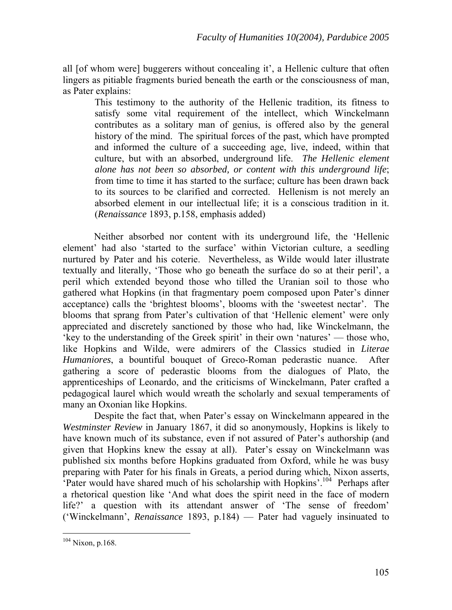all [of whom were] buggerers without concealing it', a Hellenic culture that often lingers as pitiable fragments buried beneath the earth or the consciousness of man, as Pater explains:

This testimony to the authority of the Hellenic tradition, its fitness to satisfy some vital requirement of the intellect, which Winckelmann contributes as a solitary man of genius, is offered also by the general history of the mind. The spiritual forces of the past, which have prompted and informed the culture of a succeeding age, live, indeed, within that culture, but with an absorbed, underground life. *The Hellenic element alone has not been so absorbed, or content with this underground life*; from time to time it has started to the surface; culture has been drawn back to its sources to be clarified and corrected. Hellenism is not merely an absorbed element in our intellectual life; it is a conscious tradition in it. (*Renaissance* 1893, p.158, emphasis added)

Neither absorbed nor content with its underground life, the 'Hellenic element' had also 'started to the surface' within Victorian culture, a seedling nurtured by Pater and his coterie. Nevertheless, as Wilde would later illustrate textually and literally, 'Those who go beneath the surface do so at their peril', a peril which extended beyond those who tilled the Uranian soil to those who gathered what Hopkins (in that fragmentary poem composed upon Pater's dinner acceptance) calls the 'brightest blooms', blooms with the 'sweetest nectar'. The blooms that sprang from Pater's cultivation of that 'Hellenic element' were only appreciated and discretely sanctioned by those who had, like Winckelmann, the 'key to the understanding of the Greek spirit' in their own 'natures' — those who, like Hopkins and Wilde, were admirers of the Classics studied in *Literae Humaniores*, a bountiful bouquet of Greco-Roman pederastic nuance. After gathering a score of pederastic blooms from the dialogues of Plato, the apprenticeships of Leonardo, and the criticisms of Winckelmann, Pater crafted a pedagogical laurel which would wreath the scholarly and sexual temperame[nts](#page-42-0) of many an Oxonian like Hopkins.

Despite the fact that, when Pater's essay on Winckelmann appeared in the *Westminster Review* in January 1867, it did so anonymously, Hopkins is likely to have known much of its substance, even if not assured of Pater's authorship (and given that Hopkins knew the essay at all). Pater's essay on Winckelmann was published six months before Hopkins graduated from Oxford, while he was busy preparing with Pater for his finals in Greats, a period during which, Nixon asserts, 'Pater would have shared much of his scholarship with Hopkins'.104 Perhaps after a rhetorical question like 'And what does the spirit need in the face of modern life?' a question with its attendant answer of 'The sense of freedom' ('Winckelmann', *Renaissance* 1893, p.184) — Pater had vaguely insinuated to

<span id="page-42-0"></span><sup>104</sup> Nixon, p.168.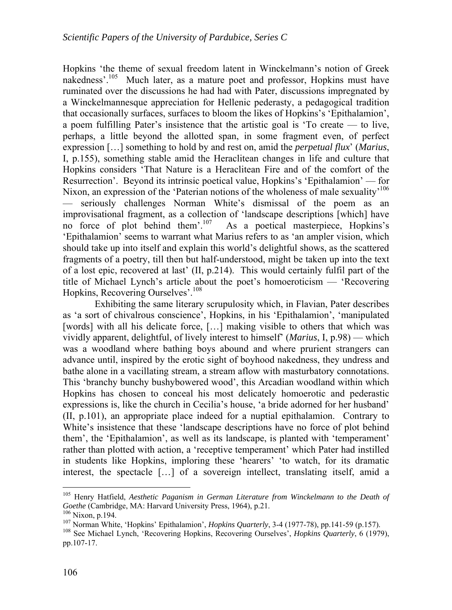Hopkins 'the theme of sexual freedom latent in Winckelmann's notion of Greek nakedness'. 105 Much later, as a mature poet and professor, Hopkins must have ruminated over the discussions he had had with Pater, discussions impregnated by a Winckelmannesque appreciation for Hellenic pederasty, a pedagogical tradition that occasionally surfaces, surfaces to bloom the likes of Hopkins's 'Epithalamion', a poem fulfilling Pater's insistence that the artistic goal is 'To create — to live, perhaps, a little beyond the allotted span, i[n s](#page-43-0)ome fragment even, of perfect expression […] something to hold by and rest on, amid the *perpetual flux*' (*Marius*, I, p.155), something stable amid the Heraclitean changes in life and culture that Hopkins considers 'That Nature is a Heraclitean Fire and of the comfort of the Resurrection'. Beyond its intrinsic poetical value, Hopkins's 'Epithalamion' — for Nixon, an expression of the 'Paterian notions of the wholeness of male sexuality'106 — seriously challenges Norman White['s](#page-43-1) dismissal of the poem as an improvisational fragment, as a collection of 'landscape descriptions [which] have no force of plot behind them'.107 As a poetical masterpiece, Hopkins's 'Epithalamion' seems to warrant what Marius refers to as 'an ampler vision, which should take up into itself and explain this world's delightful shows, as the scattered fragments of a poetry, till then but half-understood, might be taken up into the text of a lost epic, recovered at last' (II, p.214). This would certainly fulfil part of the title of Michael Lynch's article about the poet's homoeroticism — 'Recovering Hopkins, Recovering Ourselves'.<sup>108</sup>

Exhibiting the same literary scrupulosity which, in Flavian, Pater describes as 'a sort of chivalrous conscience', Hopkins, in his 'Epithalamion', 'manipulated [words] with all his delicate force, [...] making visible to others that which was vividly apparent, delightful, of lively interest to himself' (*Marius*, I, p.98) — which was a woodland where bathing boys abound and where prurient strangers can advance until, inspired by the erotic sight of boyhood nakedness, they undress and bathe alone in a vacillating stream, a stream aflow with masturbatory connotations. This 'branchy bunchy bushybowered wood', this Arcadian woodland within which Hopkins has chosen to conceal his most delicately homoerotic and pederastic expressions is, like the church in Cecilia's house, 'a bride adorned for her husband' (II, p.101), an appropriate place indeed for a nuptial epithalamion. Contrary to White's insistence that these 'landscape descriptions have no force of plot behind them', the 'Epithalamion', as well as its landscape, is planted with 'temperament' rather than plotted with action, a 'receptive temperament' which Pater had instilled in students like Hopkins, imploring these 'hearers' 'to watch, for its dramatic interest, the spectacle […] of a sovereign intellect, translating itself, amid a

<sup>105</sup> Henry Hatfield, *Aesthetic Paganism in German Literature from Winckelmann to the Death of* Goethe (Cambridge, MA: Harvard University Press, 1964), p.21.<br><sup>106</sup> Nixon, p.194.<br><sup>107</sup> Norman White, 'Hopkins' Epithalamion', *Hopkins Quarterly*, 3-4 (1977-78), pp.141-59 (p.157).<br><sup>107</sup> Norman White, 'Hopkins' Epithalami

<span id="page-43-0"></span>

<span id="page-43-1"></span>pp.107-17.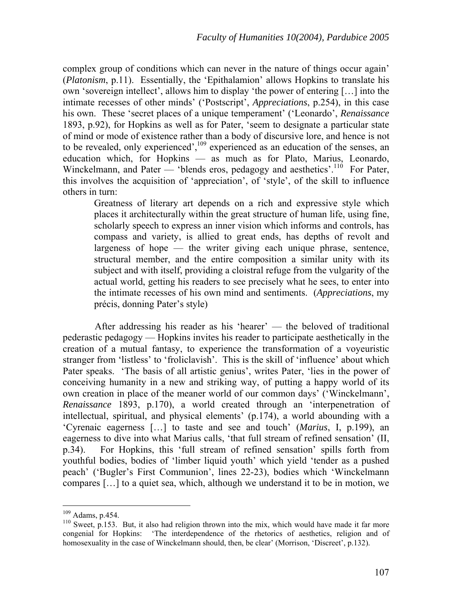complex group of conditions which can never in the nature of things occur again' (*Platonism*, p.11). Essentially, the 'Epithalamion' allows Hopkins to translate [his](#page-44-0)  own 'sovereign intellect', allows him to display 'the power of entering […] into the intimate recesses of other minds' ('Postscript', *Appreciations*, p.254), in this case his own. These 'secret places of a unique temperament' ('Leonardo', *Renaissance*  1893, p.92), for Hopkins as well as for Pater, 'seem to designate a particular state of mind or mode of existence rather than a body of discursive lore, and hence is not to be revealed, only experienced', 109 experienced as an education of the senses, an education which, for Hopkins — as much as for Plato, Marius, Leonardo, Winckelmann, and Pater  $\frac{1}{10}$  'blends eros, pedagogy and aesthetics'.<sup>110</sup> For Pater, this involves the acquisition of 'appreciation', of 'style', of the skill to influence others in turn:

Greatness of literary art depends on a rich and expressive style which places it architecturally within the great structure of human life, using fine, scholarly speech to express an inner vision which informs and controls, has compass and variety, is allied to great ends, has depths of revolt and largeness of hope — the writer giving each unique phrase, sentence, structural member, and the entire composition a similar unity with its subject and with itself, providing a cloistral refuge from the vulgarity of the actual world, getting his readers to see precisely what he sees, to enter into the intimate recesses of his own mind and sentiments. (*Appreciations*, my précis, donning Pater's style)

After addressing his reader as his 'hearer' — the beloved of traditional pederastic pedagogy — Hopkins invites his reader to participate aesthetically in the creation of a mutual fantasy, to experience the transformation of a voyeuristic stranger from 'listless' to 'froliclavish'. This is the skill of 'influence' about which Pater speaks. 'The basis of all artistic genius', writes Pater, 'lies in the power of conceiving humanity in a new and striking way, of putting a happy world of its own creation in place of the meaner world of our common days' ('Winckelmann', *Renaissance* 1893, p.170), a world created through an 'interpenetration of intellectual, spiritual, and physical elements' (p.174), a world abounding with a 'Cyrenaic eagerness […] to taste and see and touch' (*Marius*, I, p.199), an eagerness to dive into what Marius calls, 'that full stream of refined sensation' (II, p.34). For Hopkins, this 'full stream of refined sensation' spills forth from youthful bodies, bodies of 'limber liquid youth' which yield 'tender as a pushed peach' ('Bugler's First Communion', lines 22-23), bodies which 'Winckelmann compares […] to a quiet sea, which, although we understand it to be in motion, we

 $109$  Adams, p.454.

<span id="page-44-0"></span> $110$  Sweet, p.153. But, it also had religion thrown into the mix, which would have made it far more congenial for Hopkins: 'The interdependence of the rhetorics of aesthetics, religion and of homosexuality in the case of Winckelmann should, then, be clear' (Morrison, 'Discreet', p.132).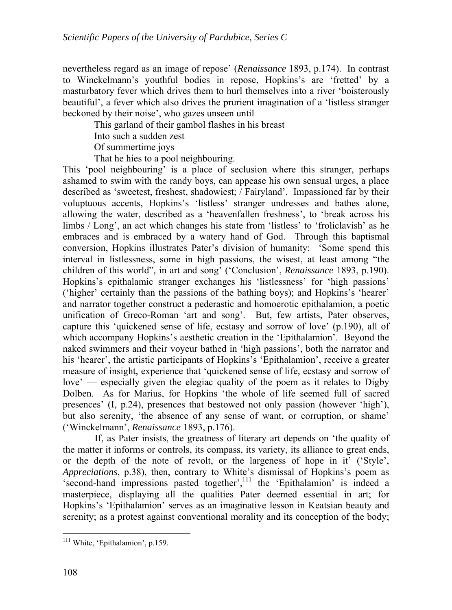nevertheless regard as an image of repose' (*Renaissance* 1893, p.174). In contrast to Winckelmann's youthful bodies in repose, Hopkins's are 'fretted' by a masturbatory fever which drives them to hurl themselves into a river 'boisterously beautiful', a fever which also drives the prurient imagination of a 'listless stranger beckoned by their noise', who gazes unseen until

This garland of their gambol flashes in his breast Into such a sudden zest Of summertime joys

That he hies to a pool neighbouring.

This 'pool neighbouring' is a place of seclusion where this stranger, perhaps ashamed to swim with the randy boys, can appease his own sensual urges, a place described as 'sweetest, freshest, shadowiest; / Fairyland'. Impassioned far by their voluptuous accents, Hopkins's 'listless' stranger undresses and bathes alone, allowing the water, described as a 'heavenfallen freshness', to 'break across his limbs / Long', an act which changes his state from 'listless' to 'froliclavish' as he embraces and is embraced by a watery hand of God. Through this baptismal conversion, Hopkins illustrates Pater's division of humanity: 'Some spend this interval in listlessness, some in high passions, the wisest, at least among "the children of this world", in art and song' ('Conclusion', *Renaissance* 1893, p.190). Hopkins's epithalamic stranger exchanges his 'listlessness' for 'high passions' ('higher' certainly than the passions of the bathing boys); and Hopkins's 'hearer' and narrator together construct a pederastic and homoerotic epithalamion, a poetic unification of Greco-Roman 'art and song'. But, few artists, Pater observes, capture this 'quickened sense of life, ecstasy and sorrow of love' (p.190), all of which accompany Hopkins's aesthetic creation in the 'Epithalamion'. Beyond the naked swimmers and their voyeur bathed in 'high passions', both the narrator and his 'hearer', the artistic participants of Hopkins's 'Epithalamion', receive a greater measure of insight, experience that 'quickened sense of life, ecstasy and sorrow of love' — especially given the elegiac quality of the poem as it relates to Digby Dolben. As for Marius, for Hopkins 'the whole of l[ife](#page-45-0) seemed full of sacred presences' (I, p.24), presences that bestowed not only passion (however 'high'), but also serenity, 'the absence of any sense of want, or corruption, or shame' ('Winckelmann', *Renaissance* 1893, p.176).

If, as Pater insists, the greatness of literary art depends on 'the quality of the matter it informs or controls, its compass, its variety, its alliance to great ends, or the depth of the note of revolt, or the largeness of hope in it' ('Style', *Appreciations*, p.38), then, contrary to White's dismissal of Hopkins's poem as 'second-hand impressions pasted together',<sup>111</sup> the 'Epithalamion' is indeed a masterpiece, displaying all the qualities Pater deemed essential in art; for Hopkins's 'Epithalamion' serves as an imaginative lesson in Keatsian beauty and serenity; as a protest against conventional morality and its conception of the body;

<span id="page-45-0"></span> $\overline{a}$ 111 White, 'Epithalamion', p.159.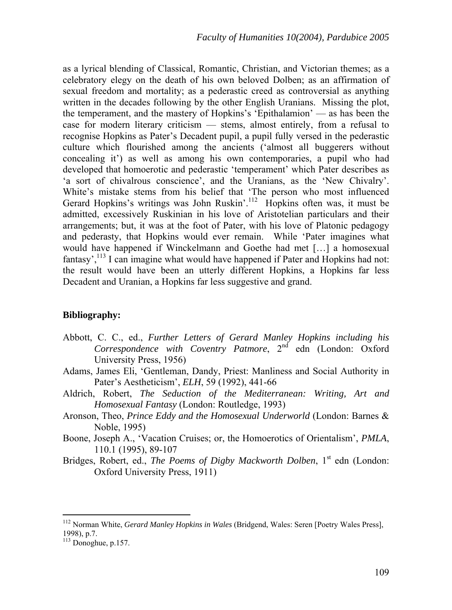as a lyrical blending of Classical, Romantic, Christian, and Victorian themes; as a celebratory elegy on the death of his own beloved Dolben; as an affirmation of sexual freedom and mortality; as a pederastic creed as controversial as anything written in the decades following by the other English Uranians. Missing the plot, the temperament, and the mastery of Hopkins's 'Epithala[mion](#page-46-0)' — as has been the case for modern literary criticism — stems, almost entirely, from a refusal to recognise Hopkins as Pater's Decadent pupil, a pupil fully versed in the pederastic culture which flourished among the ancients ('almost all buggerers without concealing it') as well as among his own contemporaries, a pupil who had developed that hom[oero](#page-46-1)tic and pederastic 'temperament' which Pater describes as 'a sort of chivalrous conscience', and the Uranians, as the 'New Chivalry'. White's mistake stems from his belief that 'The person who most influenced Gerard Hopkins's writings was John Ruskin'.<sup>112</sup> Hopkins often was, it must be admitted, excessively Ruskinian in his love of Aristotelian particulars and their arrangements; but, it was at the foot of Pater, with his love of Platonic pedagogy and pederasty, that Hopkins would ever remain. While 'Pater imagines what would have happened if Winckelmann and Goethe had met […] a homosexual fantasy',<sup>113</sup> I can imagine what would have happened if Pater and Hopkins had not: the result would have been an utterly different Hopkins, a Hopkins far less Decadent and Uranian, a Hopkins far less suggestive and grand.

## **Bibliography:**

- Abbott, C. C., ed., *Further Letters of Gerard Manley Hopkins including his* Correspondence with Coventry Patmore, 2<sup>nd</sup> edn (London: Oxford University Press, 1956)
- Adams, James Eli, 'Gentleman, Dandy, Priest: Manliness and Social Authority in Pater's Aestheticism', *ELH*, 59 (1992), 441-66
- Aldrich, Robert, *The Seduction of the Mediterranean: Writing, Art and Homosexual Fantasy* (London: Routledge, 1993)
- Aronson, Theo, *Prince Eddy and the Homosexual Underworld* (London: Barnes & Noble, 1995)
- Boone, Joseph A., 'Vacation Cruises; or, the Homoerotics of Orientalism', *PMLA*, 110.1 (1995), 89-107
- Bridges, Robert, ed., *The Poems of Digby Mackworth Dolben*, 1<sup>st</sup> edn (London: Oxford University Press, 1911)

<span id="page-46-0"></span><sup>112</sup> Norman White, *Gerard Manley Hopkins in Wales* (Bridgend, Wales: Seren [Poetry Wales Press], 1998), p.7.<br><sup>113</sup> Donoghue, p.157.

<span id="page-46-1"></span>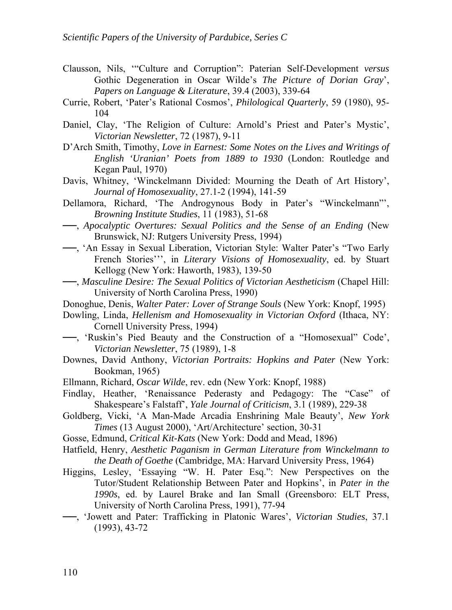- Clausson, Nils, '"Culture and Corruption": Paterian Self-Development *versus* Gothic Degeneration in Oscar Wilde's *The Picture of Dorian Gray*', *Papers on Language & Literature*, 39.4 (2003), 339-64
- Currie, Robert, 'Pater's Rational Cosmos', *Philological Quarterly*, 59 (1980), 95- 104
- Daniel, Clay, 'The Religion of Culture: Arnold's Priest and Pater's Mystic', *Victorian Newsletter*, 72 (1987), 9-11
- D'Arch Smith, Timothy, *Love in Earnest: Some Notes on the Lives and Writings of English 'Uranian' Poets from 1889 to 1930* (London: Routledge and Kegan Paul, 1970)
- Davis, Whitney, 'Winckelmann Divided: Mourning the Death of Art History', *Journal of Homosexuality*, 27.1-2 (1994), 141-59
- Dellamora, Richard, 'The Androgynous Body in Pater's "Winckelmann"', *Browning Institute Studies*, 11 (1983), 51-68
- ──, *Apocalyptic Overtures: Sexual Politics and the Sense of an Ending* (New Brunswick, NJ: Rutgers University Press, 1994)
- ──, 'An Essay in Sexual Liberation, Victorian Style: Walter Pater's "Two Early French Stories''', in *Literary Visions of Homosexuality*, ed. by Stuart Kellogg (New York: Haworth, 1983), 139-50
- ──, *Masculine Desire: The Sexual Politics of Victorian Aestheticism* (Chapel Hill: University of North Carolina Press, 1990)
- Donoghue, Denis, *Walter Pater: Lover of Strange Souls* (New York: Knopf, 1995)
- Dowling, Linda, *Hellenism and Homosexuality in Victorian Oxford* (Ithaca, NY: Cornell University Press, 1994)
- ──, 'Ruskin's Pied Beauty and the Construction of a "Homosexual" Code', *Victorian Newsletter*, 75 (1989), 1-8
- Downes, David Anthony, *Victorian Portraits: Hopkins and Pater* (New York: Bookman, 1965)
- Ellmann, Richard, *Oscar Wilde*, rev. edn (New York: Knopf, 1988)
- Findlay, Heather, 'Renaissance Pederasty and Pedagogy: The "Case" of Shakespeare's Falstaff', *Yale Journal of Criticism*, 3.1 (1989), 229-38
- Goldberg, Vicki, 'A Man-Made Arcadia Enshrining Male Beauty', *New York Times* (13 August 2000), 'Art/Architecture' section, 30-31
- Gosse, Edmund, *Critical Kit-Kats* (New York: Dodd and Mead, 1896)
- Hatfield, Henry, *Aesthetic Paganism in German Literature from Winckelmann to the Death of Goethe* (Cambridge, MA: Harvard University Press, 1964)
- Higgins, Lesley, 'Essaying "W. H. Pater Esq.": New Perspectives on the Tutor/Student Relationship Between Pater and Hopkins', in *Pater in the 1990s*, ed. by Laurel Brake and Ian Small (Greensboro: ELT Press, University of North Carolina Press, 1991), 77-94
- ──, 'Jowett and Pater: Trafficking in Platonic Wares', *Victorian Studies*, 37.1 (1993), 43-72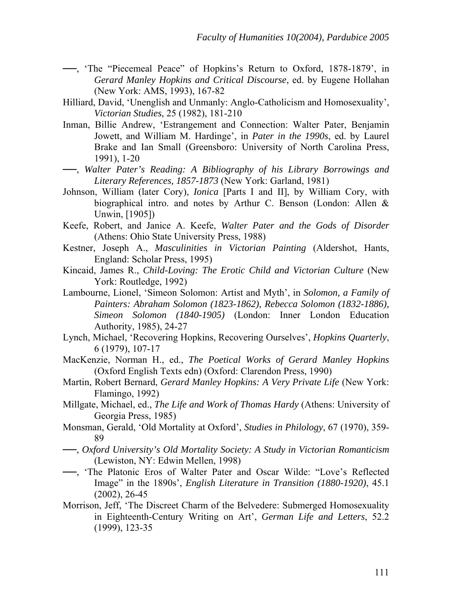- ──, 'The "Piecemeal Peace" of Hopkins's Return to Oxford, 1878-1879', in *Gerard Manley Hopkins and Critical Discourse*, ed. by Eugene Hollahan (New York: AMS, 1993), 167-82
- Hilliard, David, 'Unenglish and Unmanly: Anglo-Catholicism and Homosexuality', *Victorian Studies*, 25 (1982), 181-210
- Inman, Billie Andrew, 'Estrangement and Connection: Walter Pater, Benjamin Jowett, and William M. Hardinge', in *Pater in the 1990s*, ed. by Laurel Brake and Ian Small (Greensboro: University of North Carolina Press, 1991), 1-20
- ──, *Walter Pater's Reading: A Bibliography of his Library Borrowings and Literary References, 1857-1873* (New York: Garland, 1981)
- Johnson, William (later Cory), *Ionica* [Parts I and II], by William Cory, with biographical intro. and notes by Arthur C. Benson (London: Allen & Unwin, [1905])
- Keefe, Robert, and Janice A. Keefe, *Walter Pater and the Gods of Disorder* (Athens: Ohio State University Press, 1988)
- Kestner, Joseph A., *Masculinities in Victorian Painting* (Aldershot, Hants, England: Scholar Press, 1995)
- Kincaid, James R., *Child-Loving: The Erotic Child and Victorian Culture* (New York: Routledge, 1992)
- Lambourne, Lionel, 'Simeon Solomon: Artist and Myth', in *Solomon, a Family of Painters: Abraham Solomon (1823-1862), Rebecca Solomon (1832-1886), Simeon Solomon (1840-1905)* (London: Inner London Education Authority, 1985), 24-27
- Lynch, Michael, 'Recovering Hopkins, Recovering Ourselves', *Hopkins Quarterly*, 6 (1979), 107-17
- MacKenzie, Norman H., ed., *The Poetical Works of Gerard Manley Hopkins* (Oxford English Texts edn) (Oxford: Clarendon Press, 1990)
- Martin, Robert Bernard, *Gerard Manley Hopkins: A Very Private Life* (New York: Flamingo, 1992)
- Millgate, Michael, ed., *The Life and Work of Thomas Hardy* (Athens: University of Georgia Press, 1985)
- Monsman, Gerald, 'Old Mortality at Oxford', *Studies in Philology*, 67 (1970), 359- 89
- ──, *Oxford University's Old Mortality Society: A Study in Victorian Romanticism* (Lewiston, NY: Edwin Mellen, 1998)
- ──, 'The Platonic Eros of Walter Pater and Oscar Wilde: "Love's Reflected Image" in the 1890s', *English Literature in Transition (1880-1920)*, 45.1 (2002), 26-45
- Morrison, Jeff, 'The Discreet Charm of the Belvedere: Submerged Homosexuality in Eighteenth-Century Writing on Art', *German Life and Letters*, 52.2 (1999), 123-35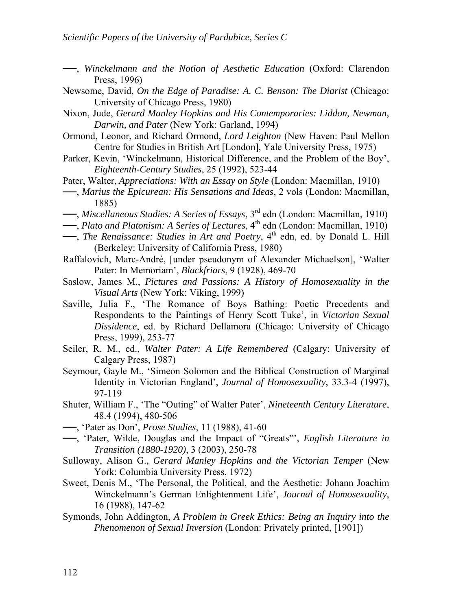- ──, *Winckelmann and the Notion of Aesthetic Education* (Oxford: Clarendon Press, 1996)
- Newsome, David, *On the Edge of Paradise: A. C. Benson: The Diarist* (Chicago: University of Chicago Press, 1980)
- Nixon, Jude, *Gerard Manley Hopkins and His Contemporaries: Liddon, Newman, Darwin, and Pater* (New York: Garland, 1994)
- Ormond, Leonor, and Richard Ormond, *Lord Leighton* (New Haven: Paul Mellon Centre for Studies in British Art [London], Yale University Press, 1975)
- Parker, Kevin, 'Winckelmann, Historical Difference, and the Problem of the Boy', *Eighteenth-Century Studies*, 25 (1992), 523-44
- Pater, Walter, *Appreciations: With an Essay on Style* (London: Macmillan, 1910)
- ──, *Marius the Epicurean: His Sensations and Ideas*, 2 vols (London: Macmillan, 1885)
- ──, *Miscellaneous Studies: A Series of Essays*, 3rd edn (London: Macmillan, 1910)
- <sup>1</sup>, *Plato and Platonism: A Series of Lectures*, 4<sup>th</sup> edn (London: Macmillan, 1910)
- <sup>---</sup>, *The Renaissance: Studies in Art and Poetry*, 4<sup>th</sup> edn, ed. by Donald L. Hill (Berkeley: University of California Press, 1980)
- Raffalovich, Marc-André, [under pseudonym of Alexander Michaelson], 'Walter Pater: In Memoriam', *Blackfriars*, 9 (1928), 469-70
- Saslow, James M., *Pictures and Passions: A History of Homosexuality in the Visual Arts* (New York: Viking, 1999)
- Saville, Julia F., 'The Romance of Boys Bathing: Poetic Precedents and Respondents to the Paintings of Henry Scott Tuke', in *Victorian Sexual Dissidence*, ed. by Richard Dellamora (Chicago: University of Chicago Press, 1999), 253-77
- Seiler, R. M., ed., *Walter Pater: A Life Remembered* (Calgary: University of Calgary Press, 1987)
- Seymour, Gayle M., 'Simeon Solomon and the Biblical Construction of Marginal Identity in Victorian England', *Journal of Homosexuality*, 33.3-4 (1997), 97-119
- Shuter, William F., 'The "Outing" of Walter Pater', *Nineteenth Century Literature*, 48.4 (1994), 480-506
- ──, 'Pater as Don', *Prose Studies*, 11 (1988), 41-60
- ──, 'Pater, Wilde, Douglas and the Impact of "Greats"', *English Literature in Transition (1880-1920)*, 3 (2003), 250-78
- Sulloway, Alison G., *Gerard Manley Hopkins and the Victorian Temper* (New York: Columbia University Press, 1972)
- Sweet, Denis M., 'The Personal, the Political, and the Aesthetic: Johann Joachim Winckelmann's German Enlightenment Life', *Journal of Homosexuality*, 16 (1988), 147-62
- Symonds, John Addington, *A Problem in Greek Ethics: Being an Inquiry into the Phenomenon of Sexual Inversion* (London: Privately printed, [1901])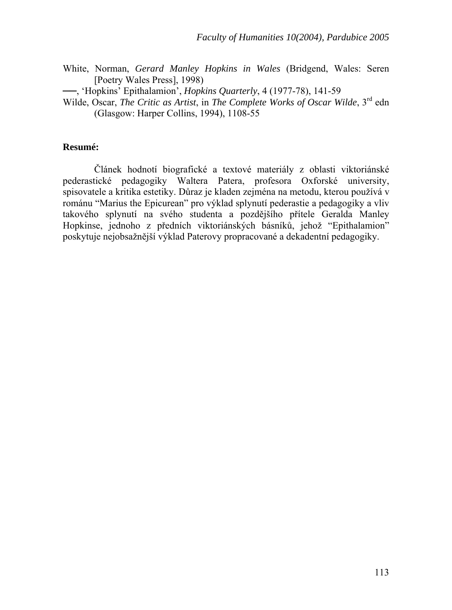- White, Norman, *Gerard Manley Hopkins in Wales* (Bridgend, Wales: Seren [Poetry Wales Press], 1998)
- ──, 'Hopkins' Epithalamion', *Hopkins Quarterly*, 4 (1977-78), 141-59
- Wilde, Oscar, *The Critic as Artist*, in *The Complete Works of Oscar Wilde*, 3rd edn (Glasgow: Harper Collins, 1994), 1108-55

## **Resumé:**

Článek hodnotí biografické a textové materiály z oblasti viktoriánské pederastické pedagogiky Waltera Patera, profesora Oxforské university, spisovatele a kritika estetiky. Důraz je kladen zejména na metodu, kterou používá v románu "Marius the Epicurean" pro výklad splynutí pederastie a pedagogiky a vliv takového splynutí na svého studenta a pozdějšího přítele Geralda Manley Hopkinse, jednoho z předních viktoriánských básníků, jehož "Epithalamion" poskytuje nejobsažnější výklad Paterovy propracované a dekadentní pedagogiky.